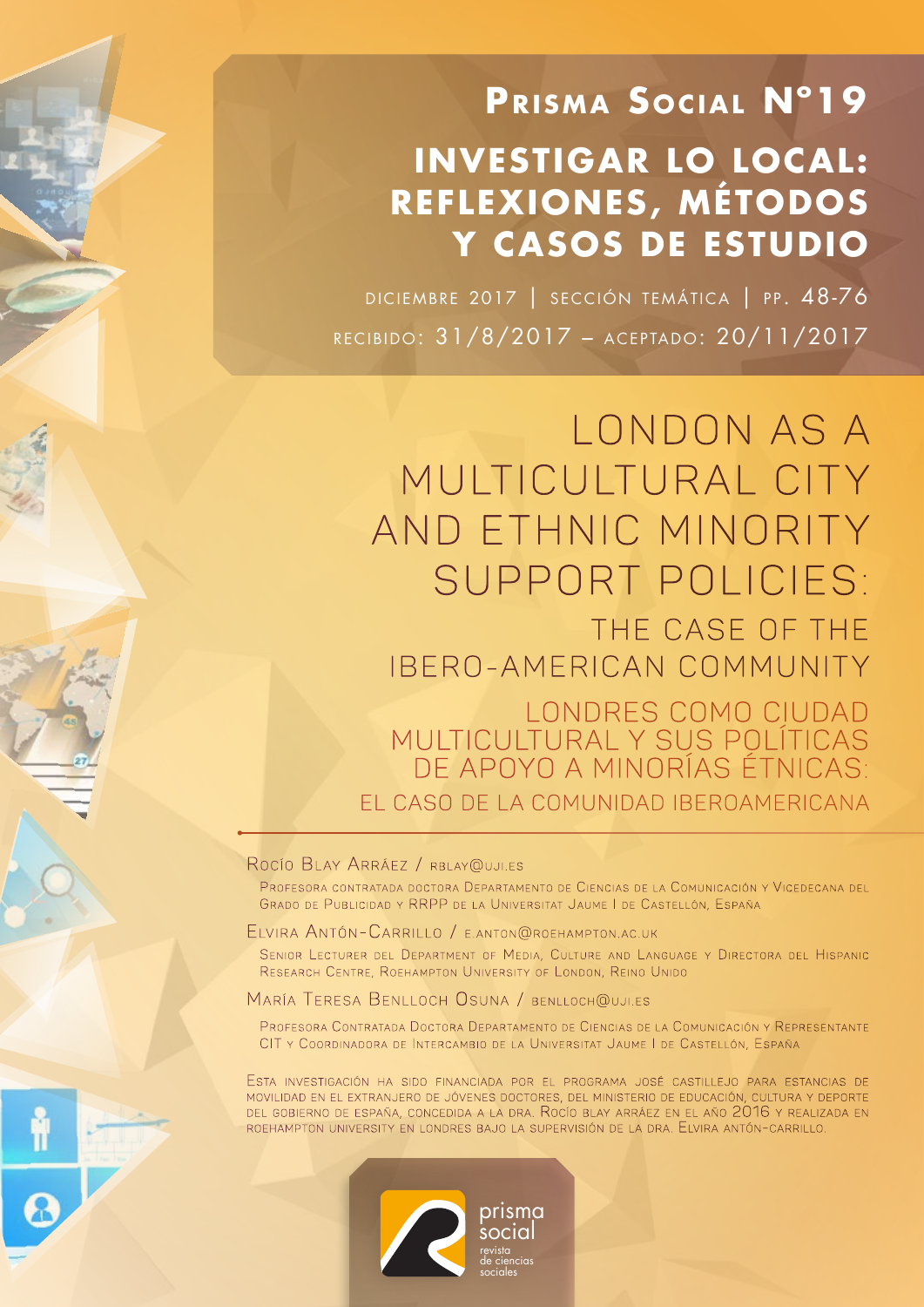# **PRISMA SOCIAL N°19 INVESTIGAR LO LOCAL: REFLEX IONES , MÉTODOS Y CASOS DE ESTUDIO**

DICIEMBRE 2017 | SECCIÓN TEMÁTICA | PP. 48-76 recibido: 31/8/2017 – aceptado: 20/11/2017

LONDON AS A MULTICULTURAL CITY AND ETHNIC MINORITY SUPPORT POLICIES: THE CASE OF THE IBERO-AMERICAN COMMUNITY Londres como ciudad multicultural y sus políticas de apoyo a minorías étnicas: el caso de la comunidad iberoamericana

#### ROCÍO BLAY ARRÁEZ / RBLAY@UJI.ES

PROFESORA CONTRATADA DOCTORA DEPARTAMENTO DE CIENCIAS DE LA COMUNICACIÓN Y VICEDECANA DEL GRADO DE PUBLICIDAD Y RRPP DE LA UNIVERSITAT JAUME I DE CASTELLÓN, ESPAÑA

#### ELVIRA ANTÓN-CARRILLO / E.ANTON@ROEHAMPTON.AC.UK

SENIOR LECTURER DEL DEPARTMENT OF MEDIA, CULTURE AND LANGUAGE Y DIRECTORA DEL HISPANIC RESEARCH CENTRE, ROEHAMPTON UNIVERSITY OF LONDON, REINO UNIDO

#### MARÍA TERESA BENLLOCH OSUNA / BENLLOCH@UJI.ES

Profesora Contratada Doctora Departamento de Ciencias de la Comunicación y Representante CIT y COORDINADORA DE INTERCAMBIO DE LA UNIVERSITAT JAUME I DE CASTELLÓN, ESPAÑA

Esta investigación ha sido financiada por el programa josé castillejo para estancias de movilidad en el extranjero de jóvenes doctores, del ministerio de educación, cultura <sup>y</sup> deporte del gobierno de españa, concedida <sup>a</sup> la dra. Rocío blay arráez en el año 2016 y realizada en roehampton university en londres bajo la supervisión de la dra. Elvira antón-carrillo.

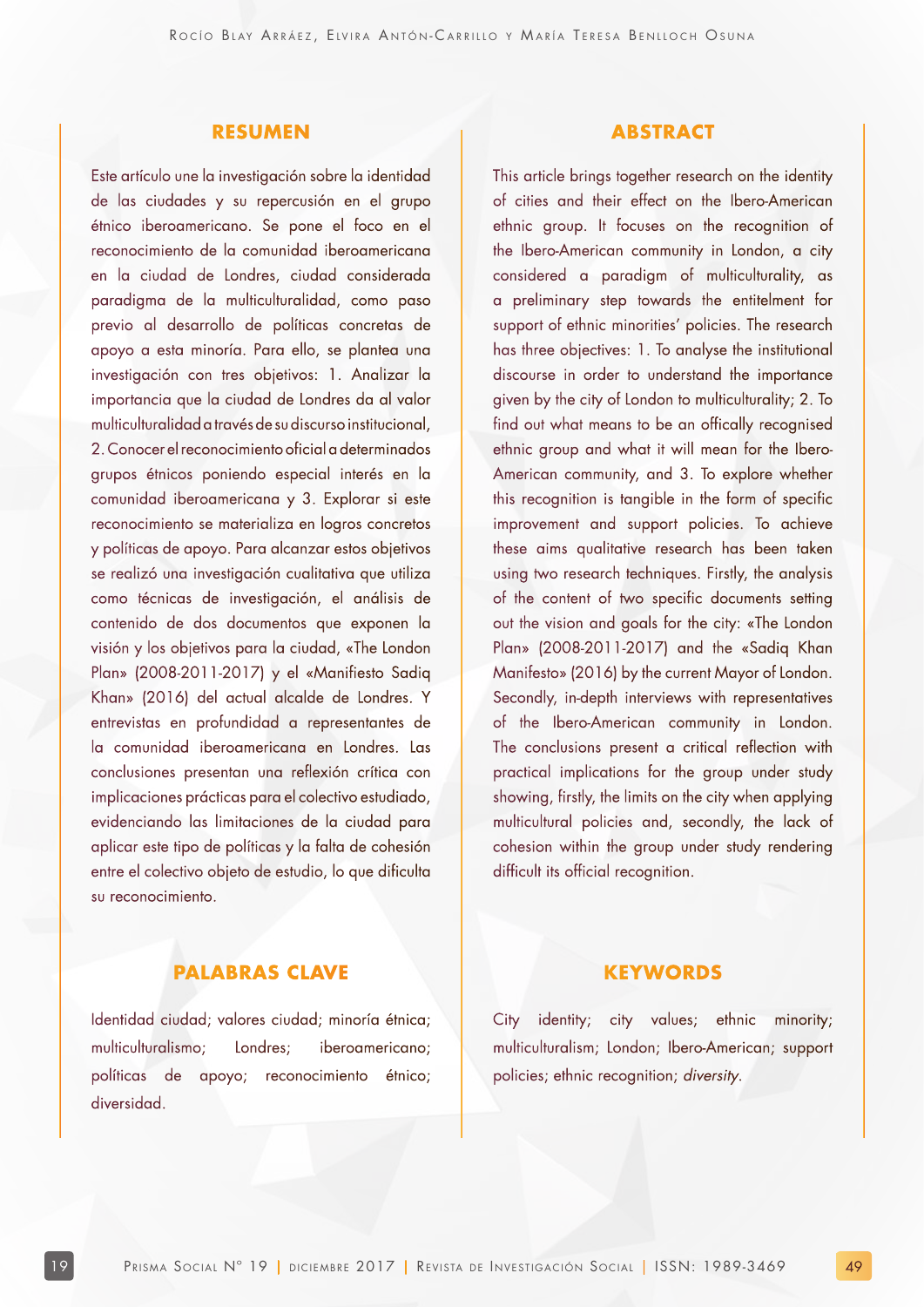#### **RESUMEN**

Este artículo une la investigación sobre la identidad de las ciudades y su repercusión en el grupo étnico iberoamericano. Se pone el foco en el reconocimiento de la comunidad iberoamericana en la ciudad de Londres, ciudad considerada paradigma de la multiculturalidad, como paso previo al desarrollo de políticas concretas de apoyo a esta minoría. Para ello, se plantea una investigación con tres objetivos: 1. Analizar la importancia que la ciudad de Londres da al valor multiculturalidad a través de su discurso institucional, 2. Conocer el reconocimiento oficial a determinados grupos étnicos poniendo especial interés en la comunidad iberoamericana y 3. Explorar si este reconocimiento se materializa en logros concretos y políticas de apoyo. Para alcanzar estos objetivos se realizó una investigación cualitativa que utiliza como técnicas de investigación, el análisis de contenido de dos documentos que exponen la visión y los objetivos para la ciudad, «The London Plan» (2008-2011-2017) y el «Manifiesto Sadiq Khan» (2016) del actual alcalde de Londres. Y entrevistas en profundidad a representantes de la comunidad iberoamericana en Londres. Las conclusiones presentan una reflexión crítica con implicaciones prácticas para el colectivo estudiado, evidenciando las limitaciones de la ciudad para aplicar este tipo de políticas y la falta de cohesión entre el colectivo objeto de estudio, lo que dificulta su reconocimiento.

#### **ABSTRACT**

This article brings together research on the identity of cities and their effect on the Ibero-American ethnic group. It focuses on the recognition of the Ibero-American community in London, a city considered a paradigm of multiculturality, as a preliminary step towards the entitelment for support of ethnic minorities' policies. The research has three objectives: 1. To analyse the institutional discourse in order to understand the importance given by the city of London to multiculturality; 2. To find out what means to be an offically recognised ethnic group and what it will mean for the Ibero-American community, and 3. To explore whether this recognition is tangible in the form of specific improvement and support policies. To achieve these aims qualitative research has been taken using two research techniques. Firstly, the analysis of the content of two specific documents setting out the vision and goals for the city: «The London Plan» (2008-2011-2017) and the «Sadiq Khan Manifesto» (2016) by the current Mayor of London. Secondly, in-depth interviews with representatives of the Ibero-American community in London. The conclusions present a critical reflection with practical implications for the group under study showing, firstly, the limits on the city when applying multicultural policies and, secondly, the lack of cohesion within the group under study rendering difficult its official recognition.

#### **PALABRAS CLAVE**

Identidad ciudad; valores ciudad; minoría étnica; multiculturalismo; Londres; iberoamericano; políticas de apoyo; reconocimiento étnico; diversidad.

#### **KEYWORDS**

City identity; city values; ethnic minority; multiculturalism; London; Ibero-American; support policies; ethnic recognition; diversity.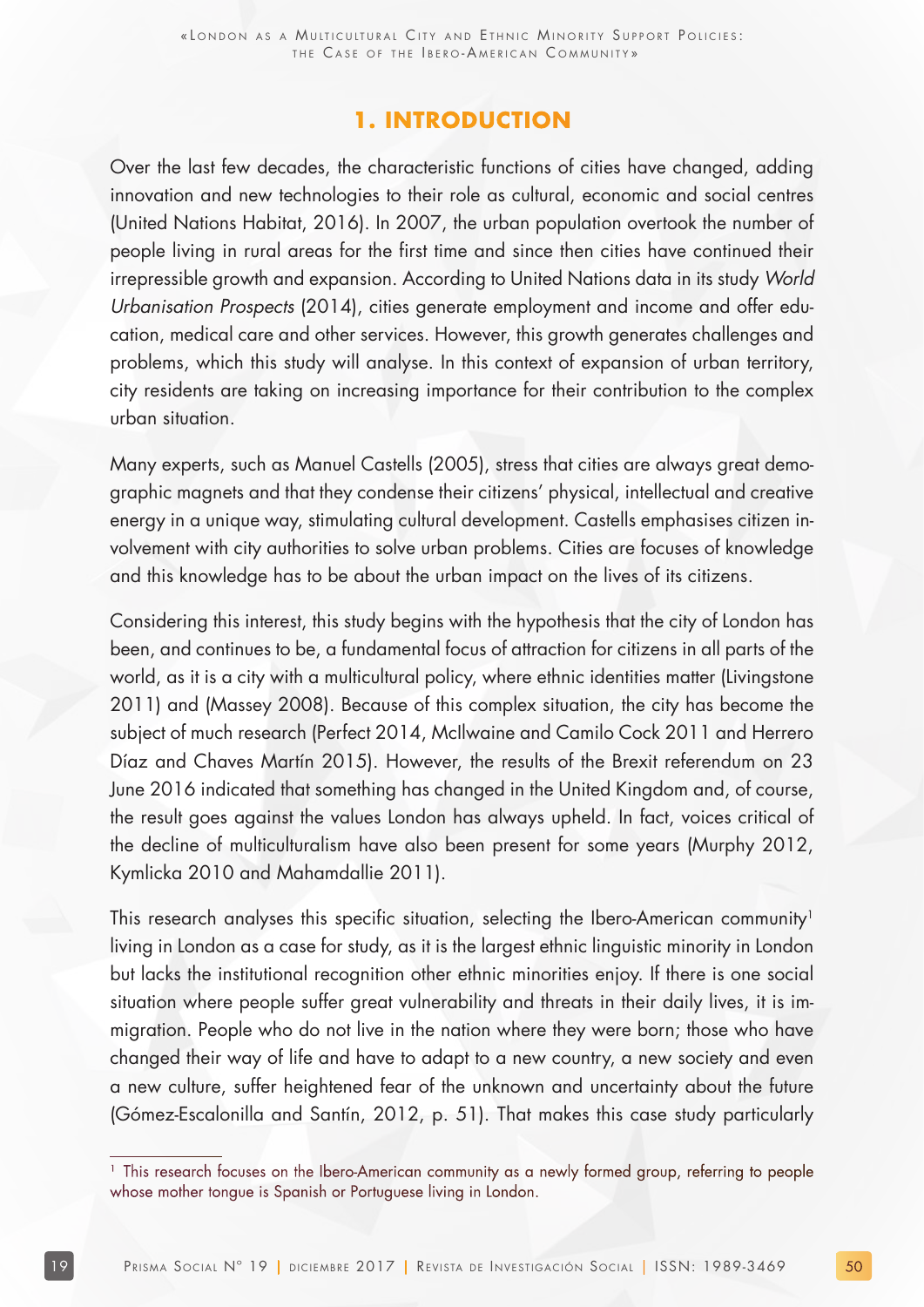### **1. INTRODUCTION**

Over the last few decades, the characteristic functions of cities have changed, adding innovation and new technologies to their role as cultural, economic and social centres (United Nations Habitat, 2016). In 2007, the urban population overtook the number of people living in rural areas for the first time and since then cities have continued their irrepressible growth and expansion. According to United Nations data in its study World Urbanisation Prospects (2014), cities generate employment and income and offer education, medical care and other services. However, this growth generates challenges and problems, which this study will analyse. In this context of expansion of urban territory, city residents are taking on increasing importance for their contribution to the complex urban situation.

Many experts, such as Manuel Castells (2005), stress that cities are always great demographic magnets and that they condense their citizens' physical, intellectual and creative energy in a unique way, stimulating cultural development. Castells emphasises citizen involvement with city authorities to solve urban problems. Cities are focuses of knowledge and this knowledge has to be about the urban impact on the lives of its citizens.

Considering this interest, this study begins with the hypothesis that the city of London has been, and continues to be, a fundamental focus of attraction for citizens in all parts of the world, as it is a city with a multicultural policy, where ethnic identities matter (Livingstone 2011) and (Massey 2008). Because of this complex situation, the city has become the subject of much research (Perfect 2014, McIlwaine and Camilo Cock 2011 and Herrero Díaz and Chaves Martín 2015). However, the results of the Brexit referendum on 23 June 2016 indicated that something has changed in the United Kingdom and, of course, the result goes against the values London has always upheld. In fact, voices critical of the decline of multiculturalism have also been present for some years (Murphy 2012, Kymlicka 2010 and Mahamdallie 2011).

This research analyses this specific situation, selecting the Ibero-American community<sup>1</sup> living in London as a case for study, as it is the largest ethnic linguistic minority in London but lacks the institutional recognition other ethnic minorities enjoy. If there is one social situation where people suffer great vulnerability and threats in their daily lives, it is immigration. People who do not live in the nation where they were born; those who have changed their way of life and have to adapt to a new country, a new society and even a new culture, suffer heightened fear of the unknown and uncertainty about the future (Gómez-Escalonilla and Santín, 2012, p. 51). That makes this case study particularly

<sup>&</sup>lt;sup>1</sup> This research focuses on the Ibero-American community as a newly formed group, referring to people whose mother tongue is Spanish or Portuguese living in London.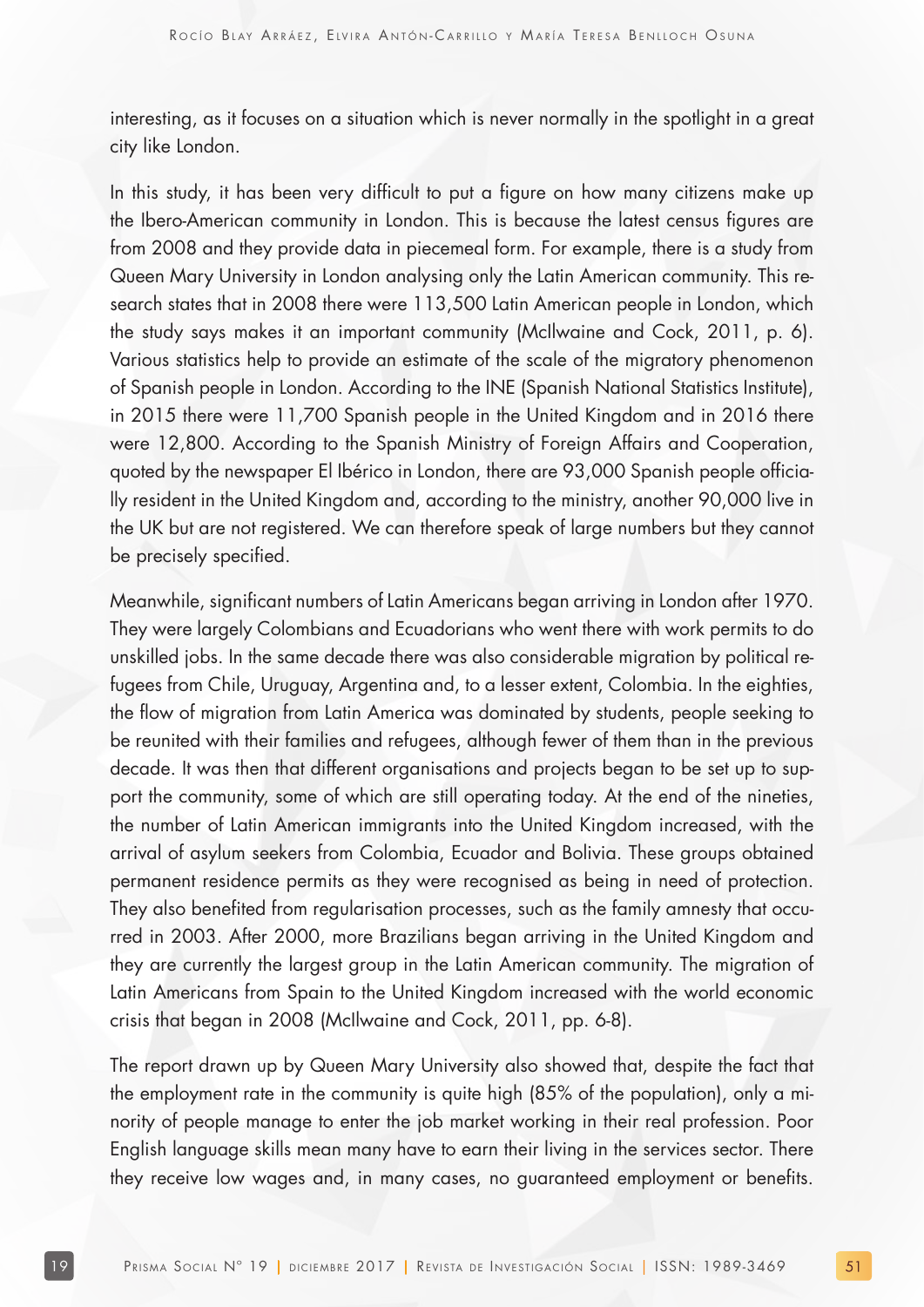interesting, as it focuses on a situation which is never normally in the spotlight in a great city like London.

In this study, it has been very difficult to put a figure on how many citizens make up the Ibero-American community in London. This is because the latest census figures are from 2008 and they provide data in piecemeal form. For example, there is a study from Queen Mary University in London analysing only the Latin American community. This research states that in 2008 there were 113,500 Latin American people in London, which the study says makes it an important community (McIlwaine and Cock, 2011, p. 6). Various statistics help to provide an estimate of the scale of the migratory phenomenon of Spanish people in London. According to the INE (Spanish National Statistics Institute), in 2015 there were 11,700 Spanish people in the United Kingdom and in 2016 there were 12,800. According to the Spanish Ministry of Foreign Affairs and Cooperation, quoted by the newspaper El Ibérico in London, there are 93,000 Spanish people officially resident in the United Kingdom and, according to the ministry, another 90,000 live in the UK but are not registered. We can therefore speak of large numbers but they cannot be precisely specified.

Meanwhile, significant numbers of Latin Americans began arriving in London after 1970. They were largely Colombians and Ecuadorians who went there with work permits to do unskilled jobs. In the same decade there was also considerable migration by political refugees from Chile, Uruguay, Argentina and, to a lesser extent, Colombia. In the eighties, the flow of migration from Latin America was dominated by students, people seeking to be reunited with their families and refugees, although fewer of them than in the previous decade. It was then that different organisations and projects began to be set up to support the community, some of which are still operating today. At the end of the nineties, the number of Latin American immigrants into the United Kingdom increased, with the arrival of asylum seekers from Colombia, Ecuador and Bolivia. These groups obtained permanent residence permits as they were recognised as being in need of protection. They also benefited from regularisation processes, such as the family amnesty that occurred in 2003. After 2000, more Brazilians began arriving in the United Kingdom and they are currently the largest group in the Latin American community. The migration of Latin Americans from Spain to the United Kingdom increased with the world economic crisis that began in 2008 (McIlwaine and Cock, 2011, pp. 6-8).

The report drawn up by Queen Mary University also showed that, despite the fact that the employment rate in the community is quite high (85% of the population), only a minority of people manage to enter the job market working in their real profession. Poor English language skills mean many have to earn their living in the services sector. There they receive low wages and, in many cases, no guaranteed employment or benefits.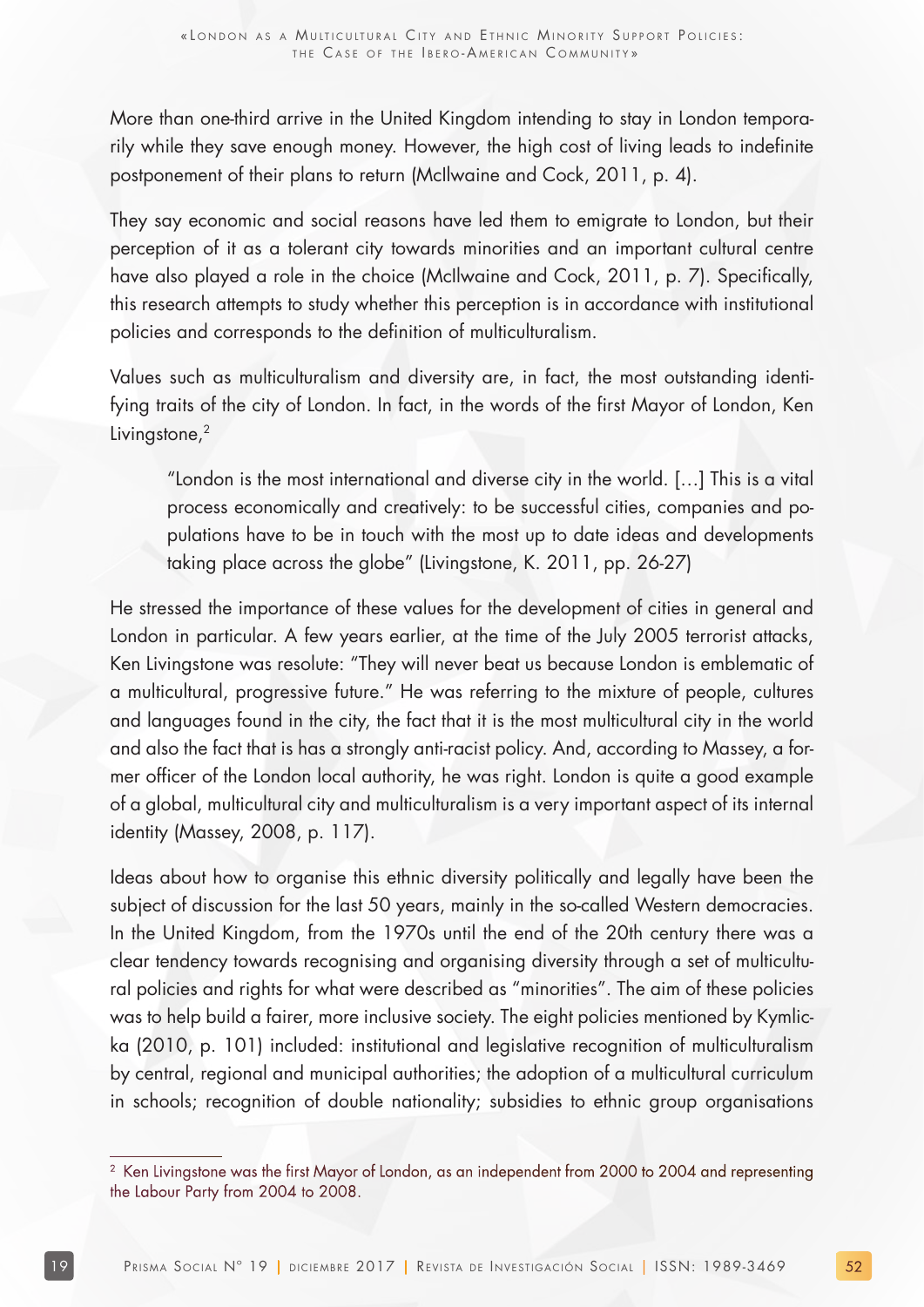More than one-third arrive in the United Kingdom intending to stay in London temporarily while they save enough money. However, the high cost of living leads to indefinite postponement of their plans to return (McIlwaine and Cock, 2011, p. 4).

They say economic and social reasons have led them to emigrate to London, but their perception of it as a tolerant city towards minorities and an important cultural centre have also played a role in the choice (McIlwaine and Cock, 2011, p. 7). Specifically, this research attempts to study whether this perception is in accordance with institutional policies and corresponds to the definition of multiculturalism.

Values such as multiculturalism and diversity are, in fact, the most outstanding identifying traits of the city of London. In fact, in the words of the first Mayor of London, Ken Livingstone,<sup>2</sup>

"London is the most international and diverse city in the world. […] This is a vital process economically and creatively: to be successful cities, companies and populations have to be in touch with the most up to date ideas and developments taking place across the globe" (Livingstone, K. 2011, pp. 26-27)

He stressed the importance of these values for the development of cities in general and London in particular. A few years earlier, at the time of the July 2005 terrorist attacks, Ken Livingstone was resolute: "They will never beat us because London is emblematic of a multicultural, progressive future." He was referring to the mixture of people, cultures and languages found in the city, the fact that it is the most multicultural city in the world and also the fact that is has a strongly anti-racist policy. And, according to Massey, a former officer of the London local authority, he was right. London is quite a good example of a global, multicultural city and multiculturalism is a very important aspect of its internal identity (Massey, 2008, p. 117).

Ideas about how to organise this ethnic diversity politically and legally have been the subject of discussion for the last 50 years, mainly in the so-called Western democracies. In the United Kingdom, from the 1970s until the end of the 20th century there was a clear tendency towards recognising and organising diversity through a set of multicultural policies and rights for what were described as "minorities". The aim of these policies was to help build a fairer, more inclusive society. The eight policies mentioned by Kymlicka (2010, p. 101) included: institutional and legislative recognition of multiculturalism by central, regional and municipal authorities; the adoption of a multicultural curriculum in schools; recognition of double nationality; subsidies to ethnic group organisations

<sup>&</sup>lt;sup>2</sup> Ken Livingstone was the first Mayor of London, as an independent from 2000 to 2004 and representing the Labour Party from 2004 to 2008.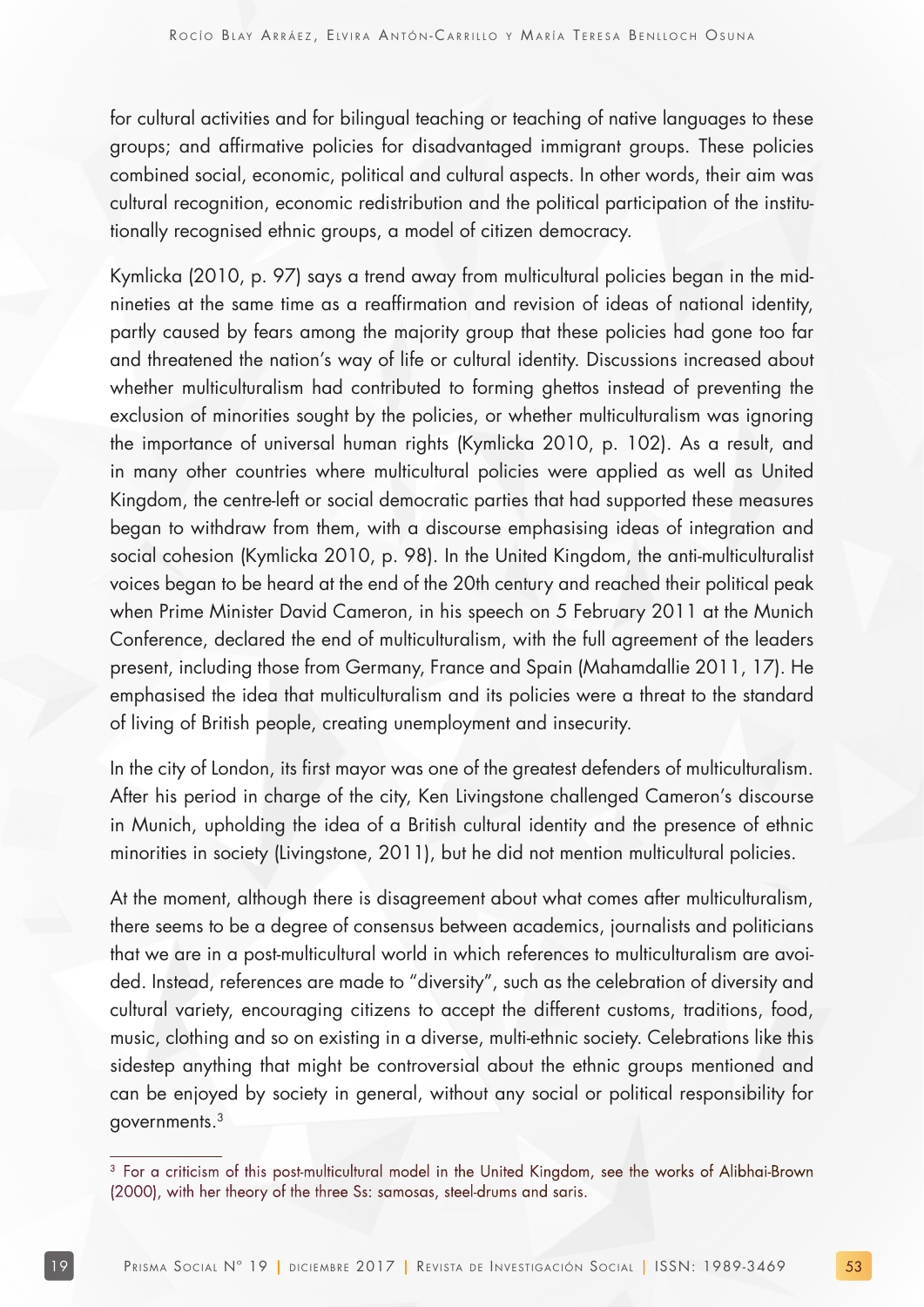for cultural activities and for bilingual teaching or teaching of native languages to these groups; and affirmative policies for disadvantaged immigrant groups. These policies combined social, economic, political and cultural aspects. In other words, their aim was cultural recognition, economic redistribution and the political participation of the institutionally recognised ethnic groups, a model of citizen democracy.

Kymlicka (2010, p. 97) says a trend away from multicultural policies began in the midnineties at the same time as a reaffirmation and revision of ideas of national identity, partly caused by fears among the majority group that these policies had gone too far and threatened the nation's way of life or cultural identity. Discussions increased about whether multiculturalism had contributed to forming ghettos instead of preventing the exclusion of minorities sought by the policies, or whether multiculturalism was ignoring the importance of universal human rights (Kymlicka 2010, p. 102). As a result, and in many other countries where multicultural policies were applied as well as United Kingdom, the centre-left or social democratic parties that had supported these measures began to withdraw from them, with a discourse emphasising ideas of integration and social cohesion (Kymlicka 2010, p. 98). In the United Kingdom, the anti-multiculturalist voices began to be heard at the end of the 20th century and reached their political peak when Prime Minister David Cameron, in his speech on 5 February 2011 at the Munich Conference, declared the end of multiculturalism, with the full agreement of the leaders present, including those from Germany, France and Spain (Mahamdallie 2011, 17). He emphasised the idea that multiculturalism and its policies were a threat to the standard of living of British people, creating unemployment and insecurity.

In the city of London, its first mayor was one of the greatest defenders of multiculturalism. After his period in charge of the city, Ken Livingstone challenged Cameron's discourse in Munich, upholding the idea of a British cultural identity and the presence of ethnic minorities in society (Livingstone, 2011), but he did not mention multicultural policies.

At the moment, although there is disagreement about what comes after multiculturalism, there seems to be a degree of consensus between academics, journalists and politicians that we are in a post-multicultural world in which references to multiculturalism are avoided. Instead, references are made to "diversity", such as the celebration of diversity and cultural variety, encouraging citizens to accept the different customs, traditions, food, music, clothing and so on existing in a diverse, multi-ethnic society. Celebrations like this sidestep anything that might be controversial about the ethnic groups mentioned and can be enjoyed by society in general, without any social or political responsibility for governments.3

<sup>&</sup>lt;sup>3</sup> For a criticism of this post-multicultural model in the United Kingdom, see the works of Alibhai-Brown (2000), with her theory of the three Ss: samosas, steel-drums and saris.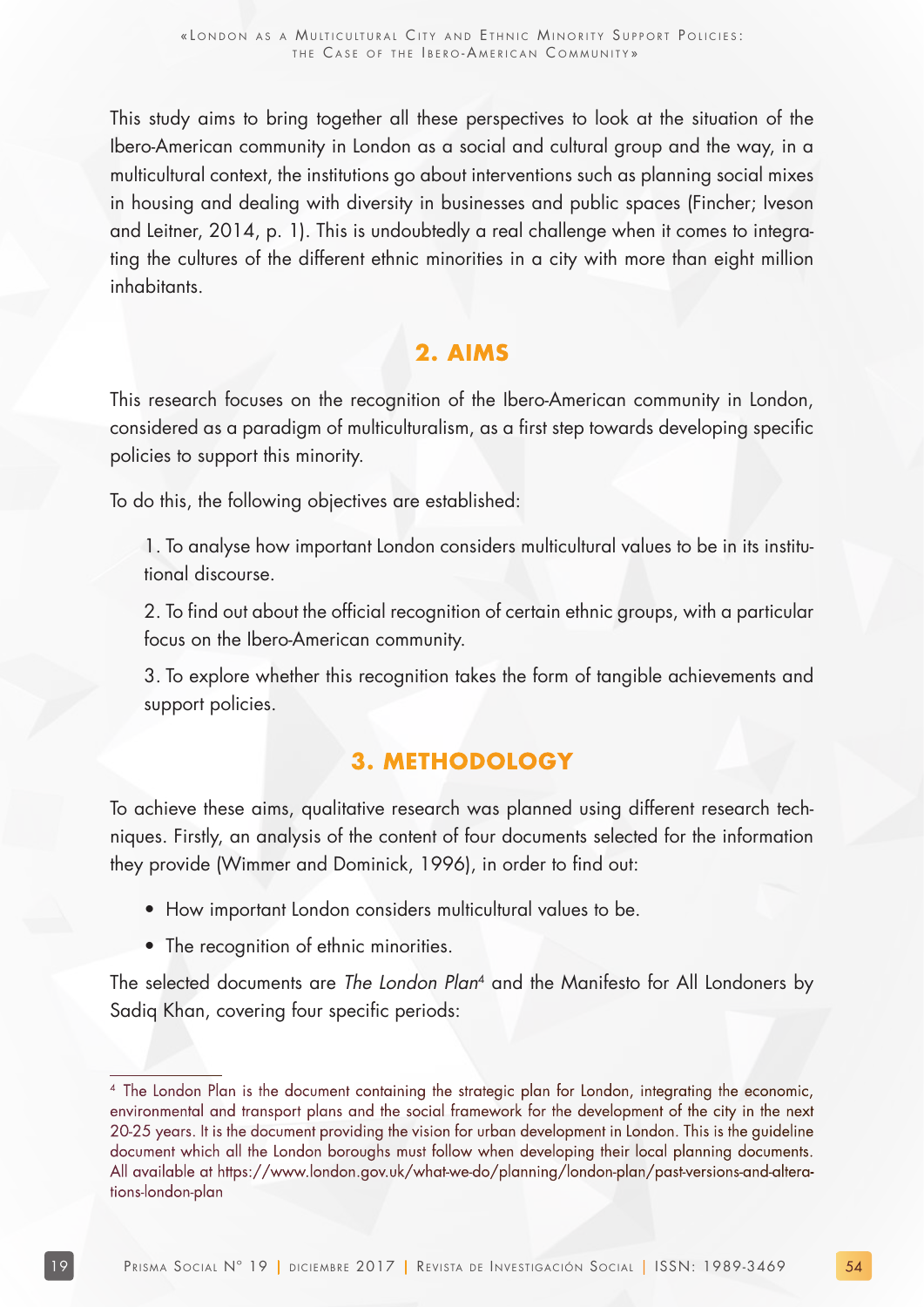This study aims to bring together all these perspectives to look at the situation of the Ibero-American community in London as a social and cultural group and the way, in a multicultural context, the institutions go about interventions such as planning social mixes in housing and dealing with diversity in businesses and public spaces (Fincher; Iveson and Leitner, 2014, p. 1). This is undoubtedly a real challenge when it comes to integrating the cultures of the different ethnic minorities in a city with more than eight million inhabitants.

## **2. AIMS**

This research focuses on the recognition of the Ibero-American community in London, considered as a paradigm of multiculturalism, as a first step towards developing specific policies to support this minority.

To do this, the following objectives are established:

1. To analyse how important London considers multicultural values to be in its institutional discourse.

2. To find out about the official recognition of certain ethnic groups, with a particular focus on the Ibero-American community.

3. To explore whether this recognition takes the form of tangible achievements and support policies.

## **3. METHODOLOGY**

To achieve these aims, qualitative research was planned using different research techniques. Firstly, an analysis of the content of four documents selected for the information they provide (Wimmer and Dominick, 1996), in order to find out:

- How important London considers multicultural values to be.
- The recognition of ethnic minorities.

The selected documents are The London Plan<sup>4</sup> and the Manifesto for All Londoners by Sadiq Khan, covering four specific periods:

<sup>4</sup> The London Plan is the document containing the strategic plan for London, integrating the economic, environmental and transport plans and the social framework for the development of the city in the next 20-25 years. It is the document providing the vision for urban development in London. This is the guideline document which all the London boroughs must follow when developing their local planning documents. All available at https://www.london.gov.uk/what-we-do/planning/london-plan/past-versions-and-alterations-london-plan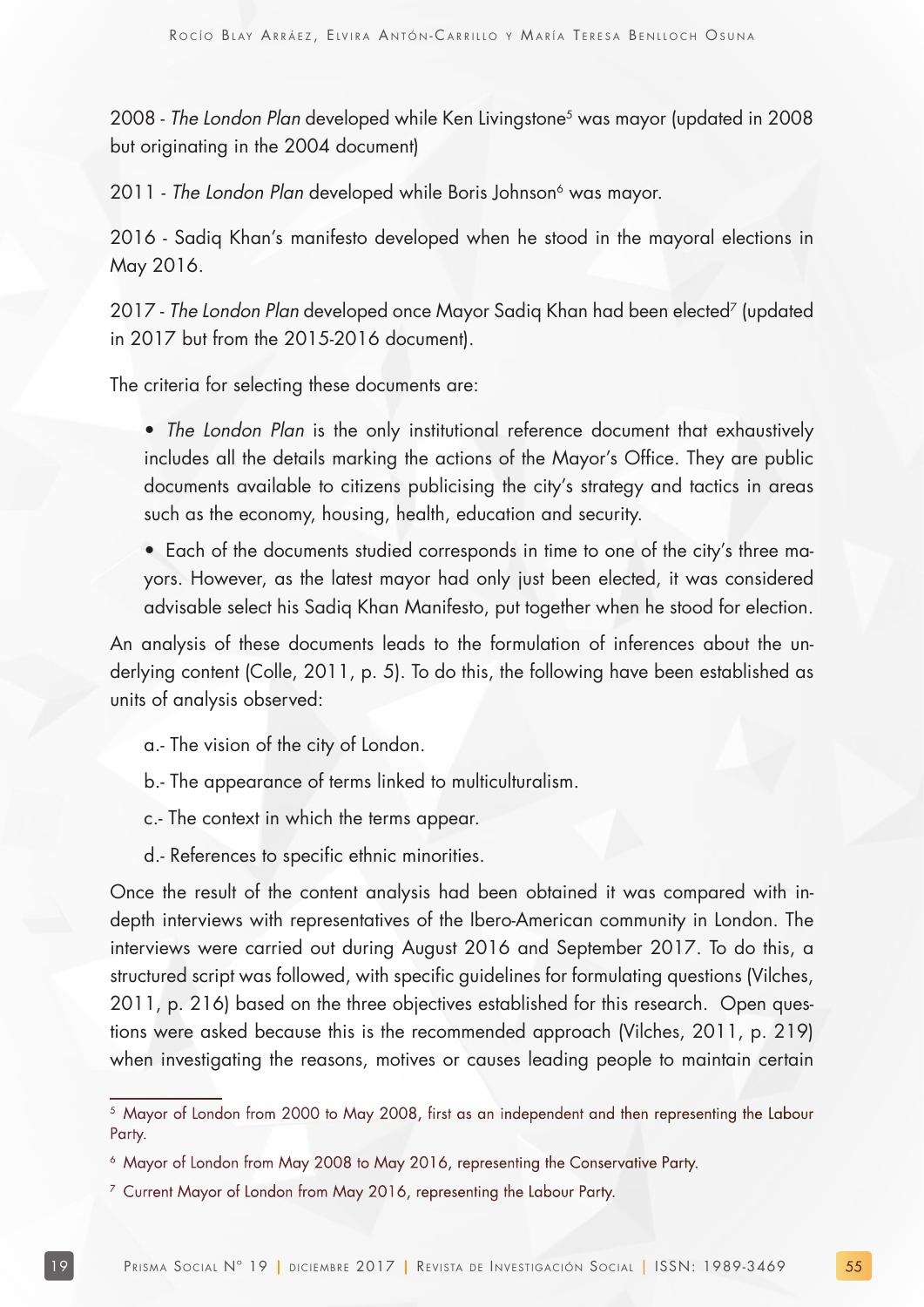2008 - The London Plan developed while Ken Livingstone<sup>5</sup> was mayor (updated in 2008 but originating in the 2004 document)

2011 - The London Plan developed while Boris Johnson<sup>6</sup> was mayor.

2016 - Sadiq Khan's manifesto developed when he stood in the mayoral elections in May 2016.

2017 - The London Plan developed once Mayor Sadiq Khan had been elected<sup>7</sup> (updated in 2017 but from the 2015-2016 document).

The criteria for selecting these documents are:

• The London Plan is the only institutional reference document that exhaustively includes all the details marking the actions of the Mayor's Office. They are public documents available to citizens publicising the city's strategy and tactics in areas such as the economy, housing, health, education and security.

• Each of the documents studied corresponds in time to one of the city's three mayors. However, as the latest mayor had only just been elected, it was considered advisable select his Sadiq Khan Manifesto, put together when he stood for election.

An analysis of these documents leads to the formulation of inferences about the underlying content (Colle, 2011, p. 5). To do this, the following have been established as units of analysis observed:

a.- The vision of the city of London.

b.- The appearance of terms linked to multiculturalism.

c.- The context in which the terms appear.

d.- References to specific ethnic minorities.

Once the result of the content analysis had been obtained it was compared with indepth interviews with representatives of the Ibero-American community in London. The interviews were carried out during August 2016 and September 2017. To do this, a structured script was followed, with specific guidelines for formulating questions (Vilches, 2011, p. 216) based on the three objectives established for this research. Open questions were asked because this is the recommended approach (Vilches, 2011, p. 219) when investigating the reasons, motives or causes leading people to maintain certain

<sup>&</sup>lt;sup>5</sup> Mayor of London from 2000 to May 2008, first as an independent and then representing the Labour Party.

<sup>&</sup>lt;sup>6</sup> Mayor of London from May 2008 to May 2016, representing the Conservative Party.

<sup>&</sup>lt;sup>7</sup> Current Mayor of London from May 2016, representing the Labour Party.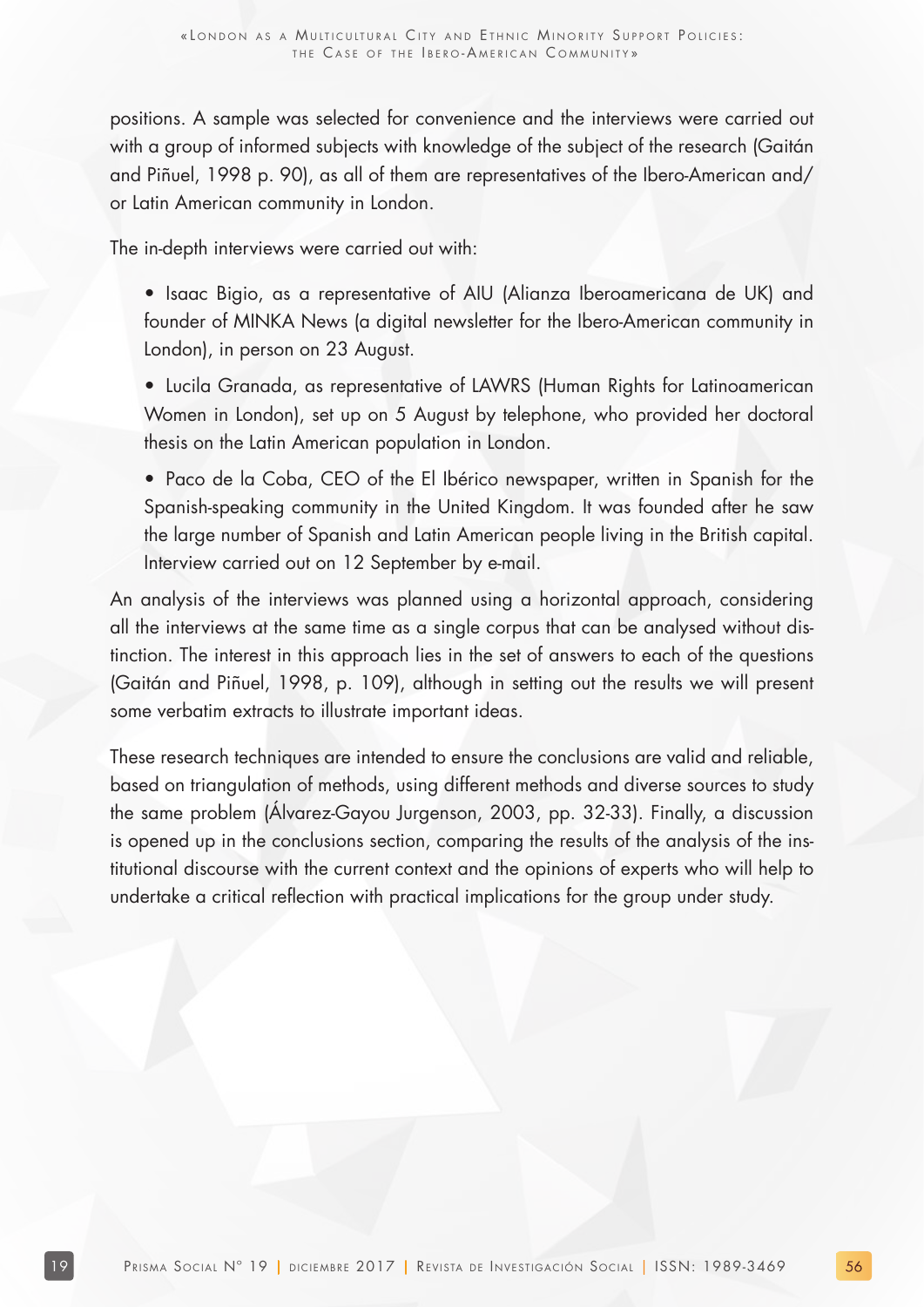positions. A sample was selected for convenience and the interviews were carried out with a group of informed subjects with knowledge of the subject of the research (Gaitán and Piñuel, 1998 p. 90), as all of them are representatives of the Ibero-American and/ or Latin American community in London.

The in-depth interviews were carried out with:

- Isaac Bigio, as a representative of AIU (Alianza Iberoamericana de UK) and founder of MINKA News (a digital newsletter for the Ibero-American community in London), in person on 23 August.
- Lucila Granada, as representative of LAWRS (Human Rights for Latinoamerican Women in London), set up on 5 August by telephone, who provided her doctoral thesis on the Latin American population in London.
- Paco de la Coba, CEO of the El Ibérico newspaper, written in Spanish for the Spanish-speaking community in the United Kingdom. It was founded after he saw the large number of Spanish and Latin American people living in the British capital. Interview carried out on 12 September by e-mail.

An analysis of the interviews was planned using a horizontal approach, considering all the interviews at the same time as a single corpus that can be analysed without distinction. The interest in this approach lies in the set of answers to each of the questions (Gaitán and Piñuel, 1998, p. 109), although in setting out the results we will present some verbatim extracts to illustrate important ideas.

These research techniques are intended to ensure the conclusions are valid and reliable, based on triangulation of methods, using different methods and diverse sources to study the same problem (Álvarez-Gayou Jurgenson, 2003, pp. 32-33). Finally, a discussion is opened up in the conclusions section, comparing the results of the analysis of the institutional discourse with the current context and the opinions of experts who will help to undertake a critical reflection with practical implications for the group under study.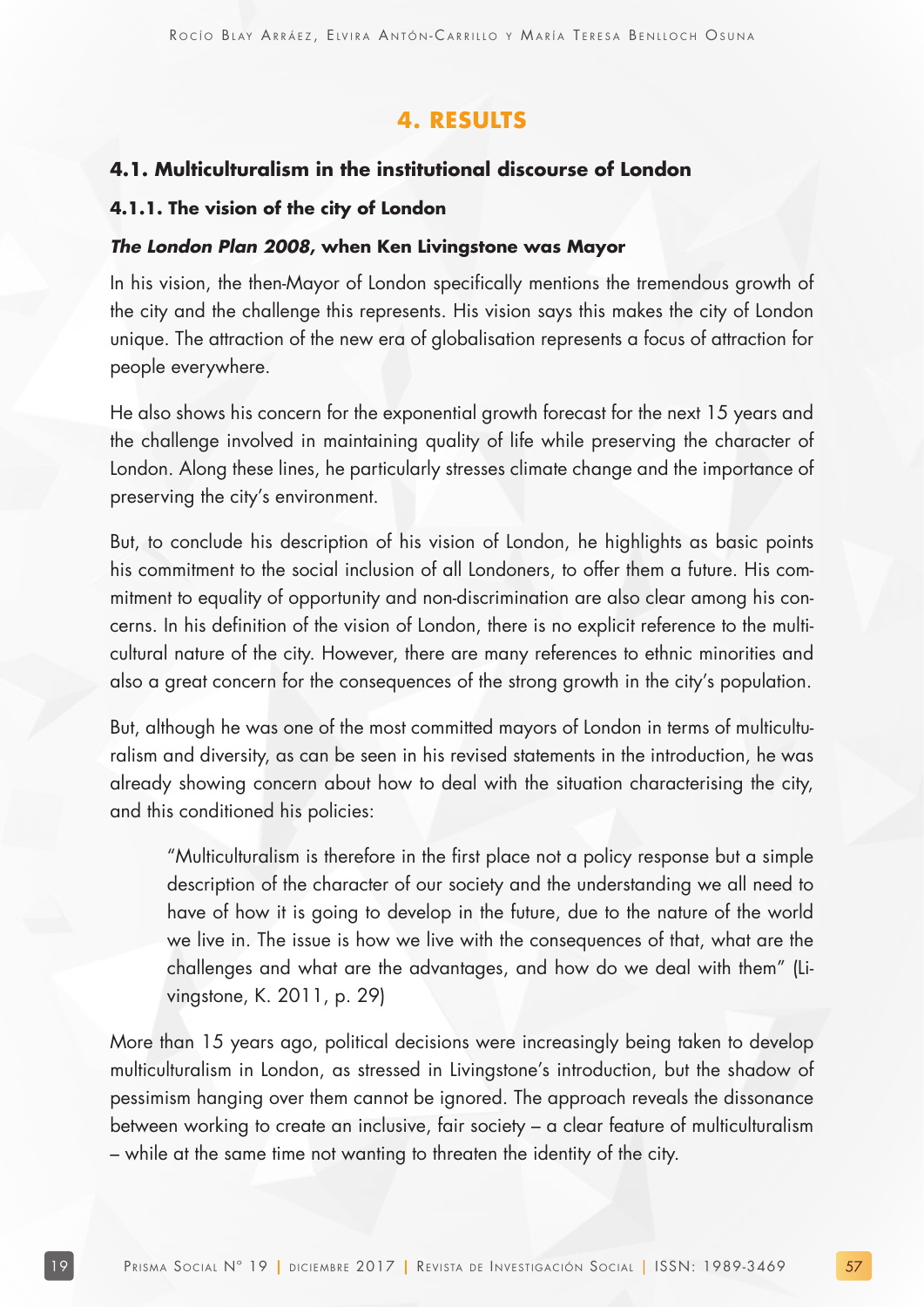## **4. RESULTS**

#### **4.1. Multiculturalism in the institutional discourse of London**

#### **4.1.1. The vision of the city of London**

#### **The London Plan 2008, when Ken Livingstone was Mayor**

In his vision, the then-Mayor of London specifically mentions the tremendous growth of the city and the challenge this represents. His vision says this makes the city of London unique. The attraction of the new era of globalisation represents a focus of attraction for people everywhere.

He also shows his concern for the exponential growth forecast for the next 15 years and the challenge involved in maintaining quality of life while preserving the character of London. Along these lines, he particularly stresses climate change and the importance of preserving the city's environment.

But, to conclude his description of his vision of London, he highlights as basic points his commitment to the social inclusion of all Londoners, to offer them a future. His commitment to equality of opportunity and non-discrimination are also clear among his concerns. In his definition of the vision of London, there is no explicit reference to the multicultural nature of the city. However, there are many references to ethnic minorities and also a great concern for the consequences of the strong growth in the city's population.

But, although he was one of the most committed mayors of London in terms of multiculturalism and diversity, as can be seen in his revised statements in the introduction, he was already showing concern about how to deal with the situation characterising the city, and this conditioned his policies:

"Multiculturalism is therefore in the first place not a policy response but a simple description of the character of our society and the understanding we all need to have of how it is going to develop in the future, due to the nature of the world we live in. The issue is how we live with the consequences of that, what are the challenges and what are the advantages, and how do we deal with them" (Livingstone, K. 2011, p. 29)

More than 15 years ago, political decisions were increasingly being taken to develop multiculturalism in London, as stressed in Livingstone's introduction, but the shadow of pessimism hanging over them cannot be ignored. The approach reveals the dissonance between working to create an inclusive, fair society – a clear feature of multiculturalism – while at the same time not wanting to threaten the identity of the city.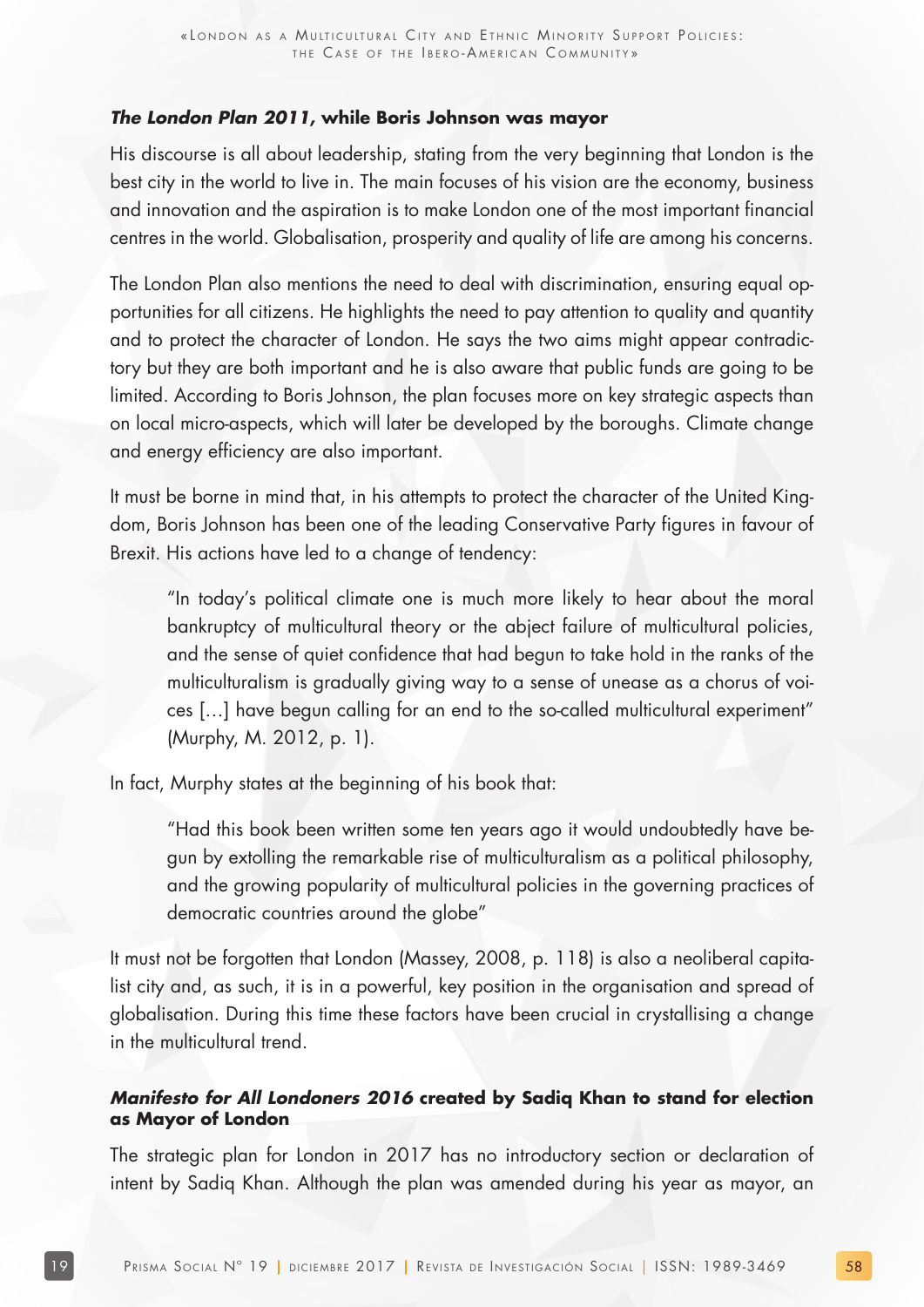#### **The London Plan 2011, while Boris Johnson was mayor**

His discourse is all about leadership, stating from the very beginning that London is the best city in the world to live in. The main focuses of his vision are the economy, business and innovation and the aspiration is to make London one of the most important financial centres in the world. Globalisation, prosperity and quality of life are among his concerns.

The London Plan also mentions the need to deal with discrimination, ensuring equal opportunities for all citizens. He highlights the need to pay attention to quality and quantity and to protect the character of London. He says the two aims might appear contradictory but they are both important and he is also aware that public funds are going to be limited. According to Boris Johnson, the plan focuses more on key strategic aspects than on local micro-aspects, which will later be developed by the boroughs. Climate change and energy efficiency are also important.

It must be borne in mind that, in his attempts to protect the character of the United Kingdom, Boris Johnson has been one of the leading Conservative Party figures in favour of Brexit. His actions have led to a change of tendency:

"In today's political climate one is much more likely to hear about the moral bankruptcy of multicultural theory or the abject failure of multicultural policies, and the sense of quiet confidence that had begun to take hold in the ranks of the multiculturalism is gradually giving way to a sense of unease as a chorus of voices […] have begun calling for an end to the so-called multicultural experiment" (Murphy, M. 2012, p. 1).

In fact, Murphy states at the beginning of his book that:

"Had this book been written some ten years ago it would undoubtedly have begun by extolling the remarkable rise of multiculturalism as a political philosophy, and the growing popularity of multicultural policies in the governing practices of democratic countries around the globe"

It must not be forgotten that London (Massey, 2008, p. 118) is also a neoliberal capitalist city and, as such, it is in a powerful, key position in the organisation and spread of globalisation. During this time these factors have been crucial in crystallising a change in the multicultural trend.

#### **Manifesto for All Londoners 2016 created by Sadiq Khan to stand for election as Mayor of London**

The strategic plan for London in 2017 has no introductory section or declaration of intent by Sadiq Khan. Although the plan was amended during his year as mayor, an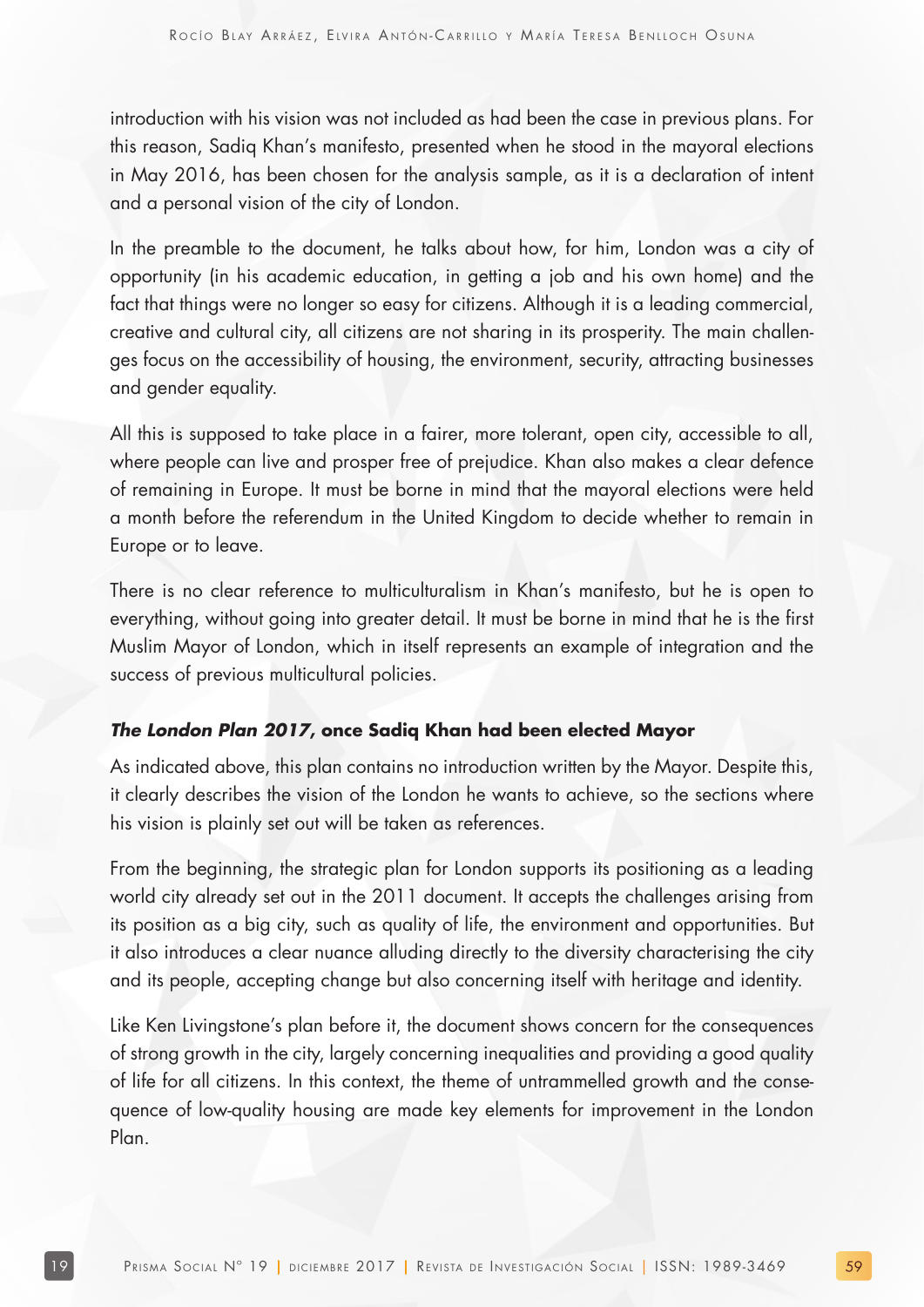introduction with his vision was not included as had been the case in previous plans. For this reason, Sadiq Khan's manifesto, presented when he stood in the mayoral elections in May 2016, has been chosen for the analysis sample, as it is a declaration of intent and a personal vision of the city of London.

In the preamble to the document, he talks about how, for him, London was a city of opportunity (in his academic education, in getting a job and his own home) and the fact that things were no longer so easy for citizens. Although it is a leading commercial, creative and cultural city, all citizens are not sharing in its prosperity. The main challenges focus on the accessibility of housing, the environment, security, attracting businesses and gender equality.

All this is supposed to take place in a fairer, more tolerant, open city, accessible to all, where people can live and prosper free of prejudice. Khan also makes a clear defence of remaining in Europe. It must be borne in mind that the mayoral elections were held a month before the referendum in the United Kingdom to decide whether to remain in Europe or to leave.

There is no clear reference to multiculturalism in Khan's manifesto, but he is open to everything, without going into greater detail. It must be borne in mind that he is the first Muslim Mayor of London, which in itself represents an example of integration and the success of previous multicultural policies.

#### **The London Plan 2017, once Sadiq Khan had been elected Mayor**

As indicated above, this plan contains no introduction written by the Mayor. Despite this, it clearly describes the vision of the London he wants to achieve, so the sections where his vision is plainly set out will be taken as references.

From the beginning, the strategic plan for London supports its positioning as a leading world city already set out in the 2011 document. It accepts the challenges arising from its position as a big city, such as quality of life, the environment and opportunities. But it also introduces a clear nuance alluding directly to the diversity characterising the city and its people, accepting change but also concerning itself with heritage and identity.

Like Ken Livingstone's plan before it, the document shows concern for the consequences of strong growth in the city, largely concerning inequalities and providing a good quality of life for all citizens. In this context, the theme of untrammelled growth and the consequence of low-quality housing are made key elements for improvement in the London Plan.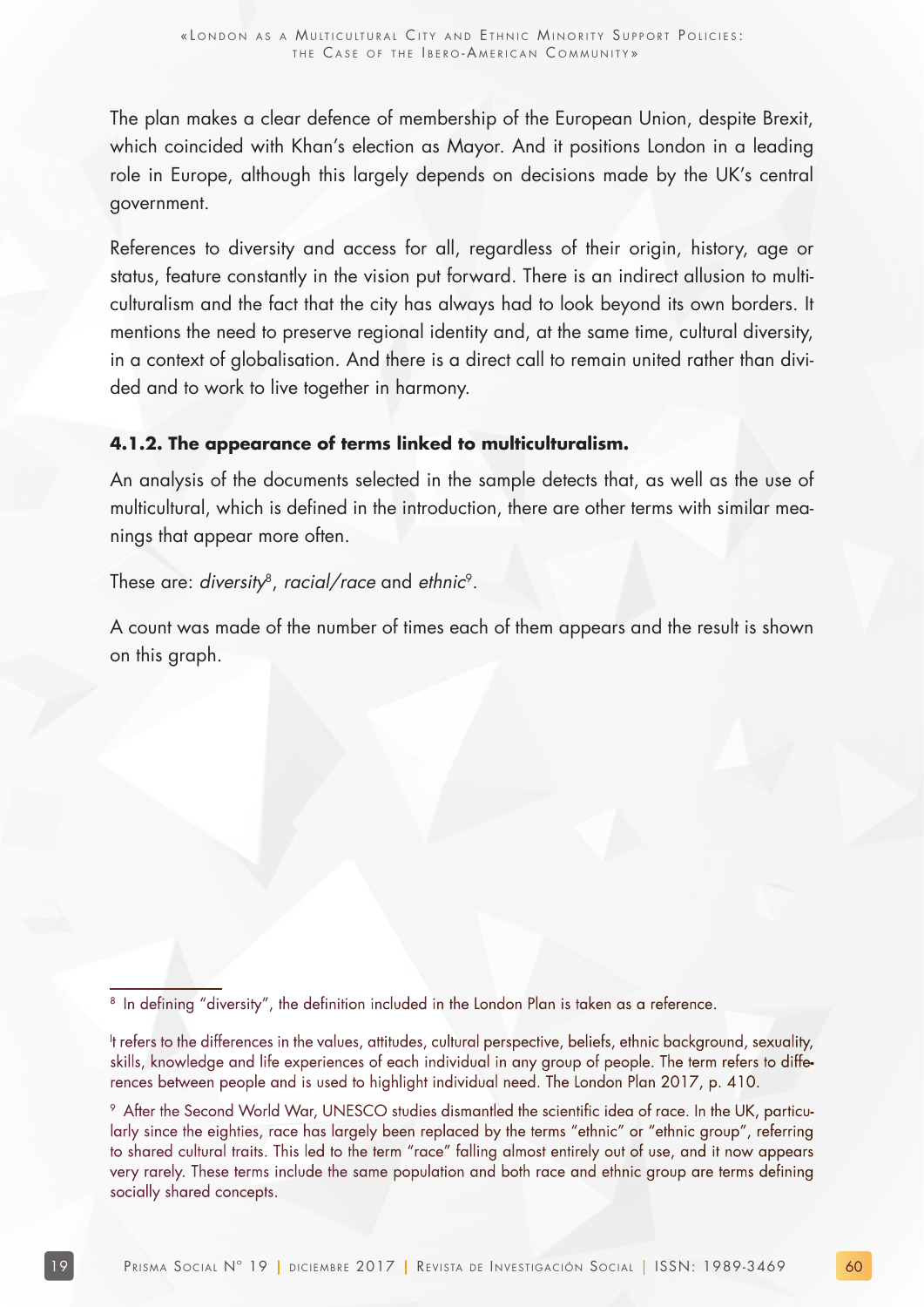The plan makes a clear defence of membership of the European Union, despite Brexit, which coincided with Khan's election as Mayor. And it positions London in a leading role in Europe, although this largely depends on decisions made by the UK's central government.

References to diversity and access for all, regardless of their origin, history, age or status, feature constantly in the vision put forward. There is an indirect allusion to multiculturalism and the fact that the city has always had to look beyond its own borders. It mentions the need to preserve regional identity and, at the same time, cultural diversity, in a context of globalisation. And there is a direct call to remain united rather than divided and to work to live together in harmony.

#### **4.1.2. The appearance of terms linked to multiculturalism.**

An analysis of the documents selected in the sample detects that, as well as the use of multicultural, which is defined in the introduction, there are other terms with similar meanings that appear more often.

These are: diversity<sup>8</sup>, racial/race and ethnic<sup>9</sup>.

A count was made of the number of times each of them appears and the result is shown on this graph.

<sup>&</sup>lt;sup>8</sup> In defining "diversity", the definition included in the London Plan is taken as a reference.

I t refers to the differences in the values, attitudes, cultural perspective, beliefs, ethnic background, sexuality, skills, knowledge and life experiences of each individual in any group of people. The term refers to differences between people and is used to highlight individual need. The London Plan 2017, p. 410.

<sup>9</sup> After the Second World War, UNESCO studies dismantled the scientific idea of race. In the UK, particularly since the eighties, race has largely been replaced by the terms "ethnic" or "ethnic group", referring to shared cultural traits. This led to the term "race" falling almost entirely out of use, and it now appears very rarely. These terms include the same population and both race and ethnic group are terms defining socially shared concepts.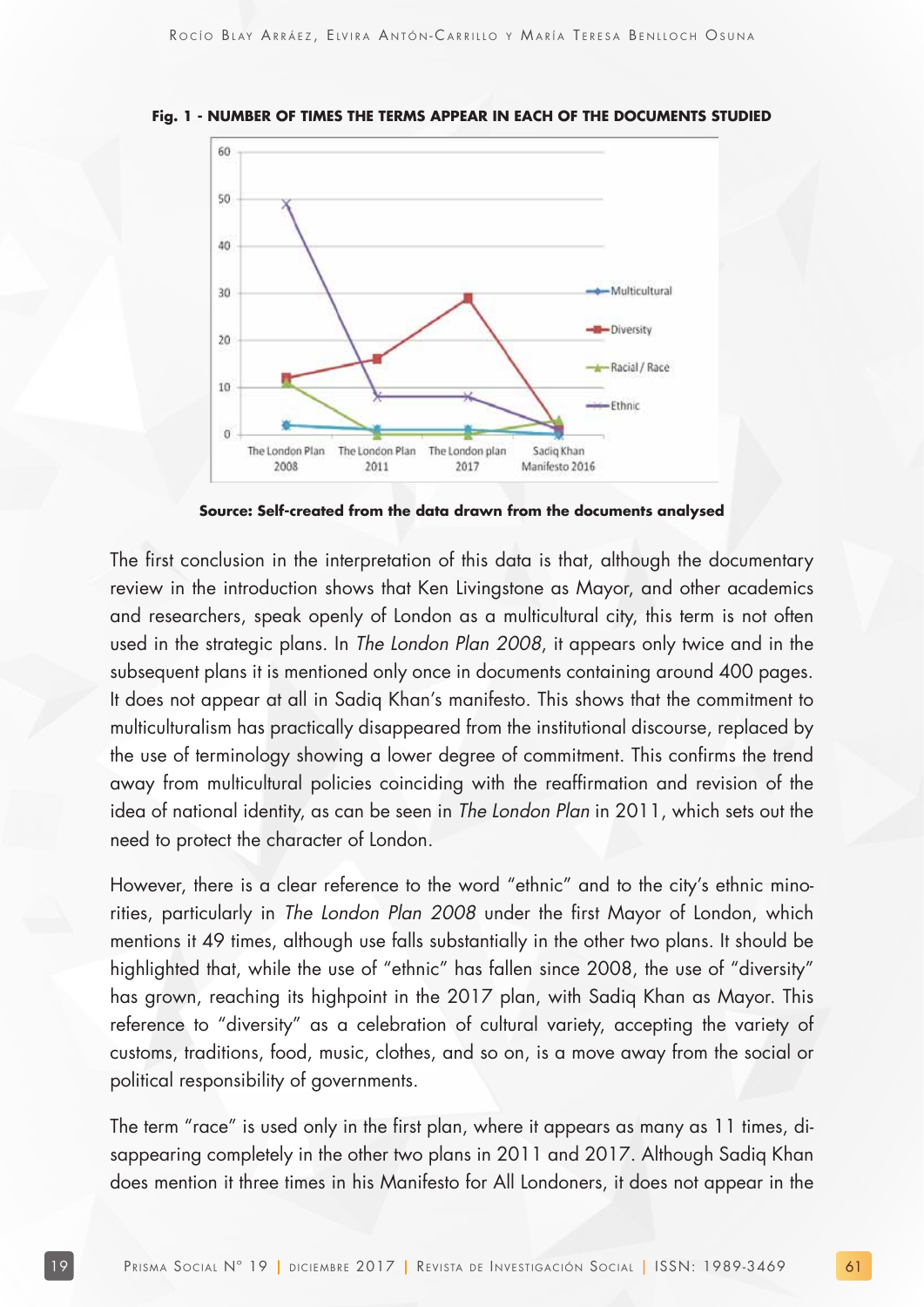

**Fig. 1 - NUMBER OF TIMES THE TERMS APPEAR IN EACH OF THE DOCUMENTS STUDIED**

**Source: Self-created from the data drawn from the documents analysed**

The first conclusion in the interpretation of this data is that, although the documentary review in the introduction shows that Ken Livingstone as Mayor, and other academics and researchers, speak openly of London as a multicultural city, this term is not often used in the strategic plans. In The London Plan 2008, it appears only twice and in the subsequent plans it is mentioned only once in documents containing around 400 pages. It does not appear at all in Sadiq Khan's manifesto. This shows that the commitment to multiculturalism has practically disappeared from the institutional discourse, replaced by the use of terminology showing a lower degree of commitment. This confirms the trend away from multicultural policies coinciding with the reaffirmation and revision of the idea of national identity, as can be seen in The London Plan in 2011, which sets out the need to protect the character of London.

However, there is a clear reference to the word "ethnic" and to the city's ethnic minorities, particularly in The London Plan 2008 under the first Mayor of London, which mentions it 49 times, although use falls substantially in the other two plans. It should be highlighted that, while the use of "ethnic" has fallen since 2008, the use of "diversity" has grown, reaching its highpoint in the 2017 plan, with Sadiq Khan as Mayor. This reference to "diversity" as a celebration of cultural variety, accepting the variety of customs, traditions, food, music, clothes, and so on, is a move away from the social or political responsibility of governments.

The term "race" is used only in the first plan, where it appears as many as 11 times, disappearing completely in the other two plans in 2011 and 2017. Although Sadiq Khan does mention it three times in his Manifesto for All Londoners, it does not appear in the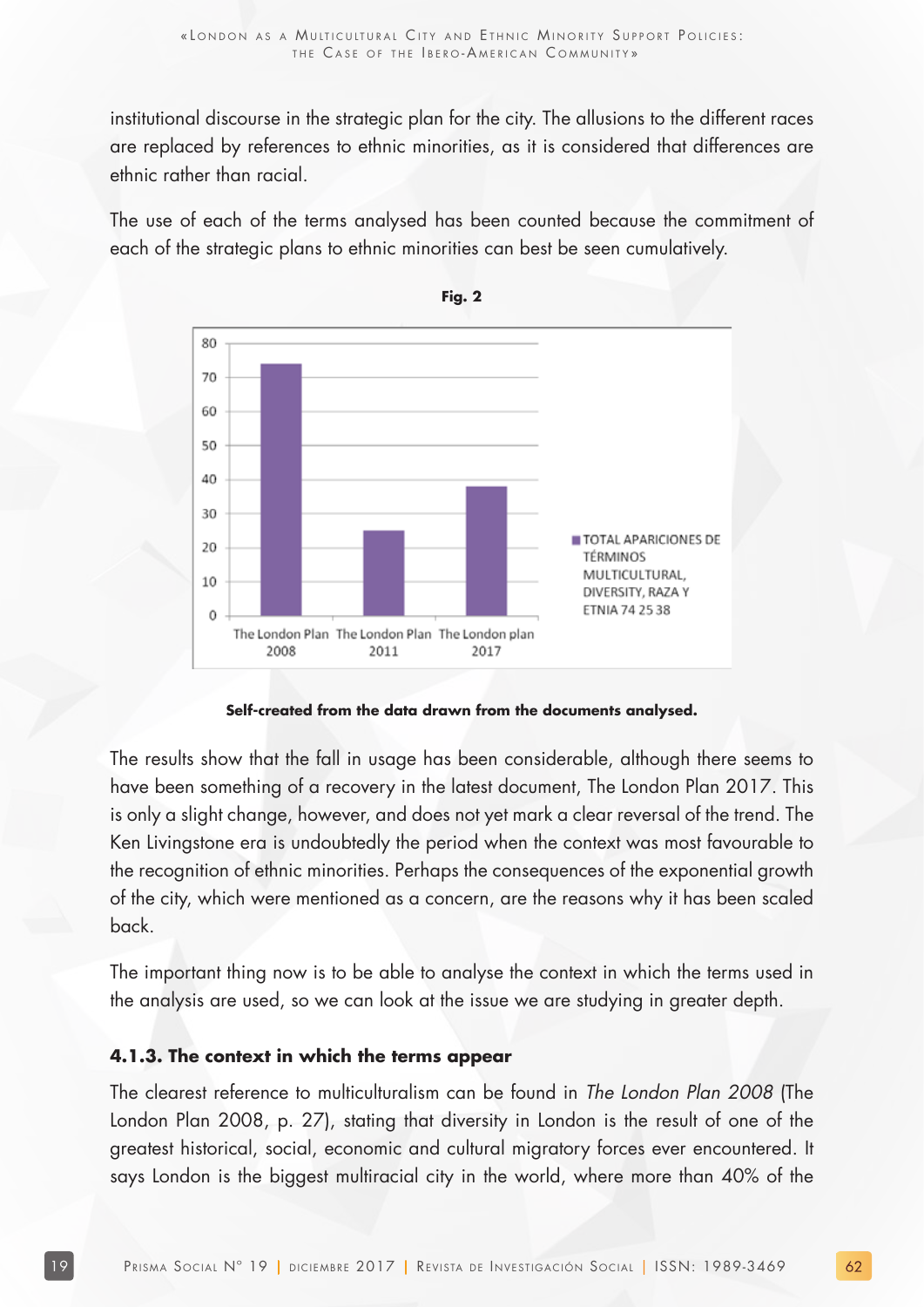institutional discourse in the strategic plan for the city. The allusions to the different races are replaced by references to ethnic minorities, as it is considered that differences are ethnic rather than racial.

The use of each of the terms analysed has been counted because the commitment of each of the strategic plans to ethnic minorities can best be seen cumulatively.





**Self-created from the data drawn from the documents analysed.**

The results show that the fall in usage has been considerable, although there seems to have been something of a recovery in the latest document, The London Plan 2017. This is only a slight change, however, and does not yet mark a clear reversal of the trend. The Ken Livingstone era is undoubtedly the period when the context was most favourable to the recognition of ethnic minorities. Perhaps the consequences of the exponential growth of the city, which were mentioned as a concern, are the reasons why it has been scaled back.

The important thing now is to be able to analyse the context in which the terms used in the analysis are used, so we can look at the issue we are studying in greater depth.

#### **4.1.3. The context in which the terms appear**

The clearest reference to multiculturalism can be found in The London Plan 2008 (The London Plan 2008, p. 27), stating that diversity in London is the result of one of the greatest historical, social, economic and cultural migratory forces ever encountered. It says London is the biggest multiracial city in the world, where more than 40% of the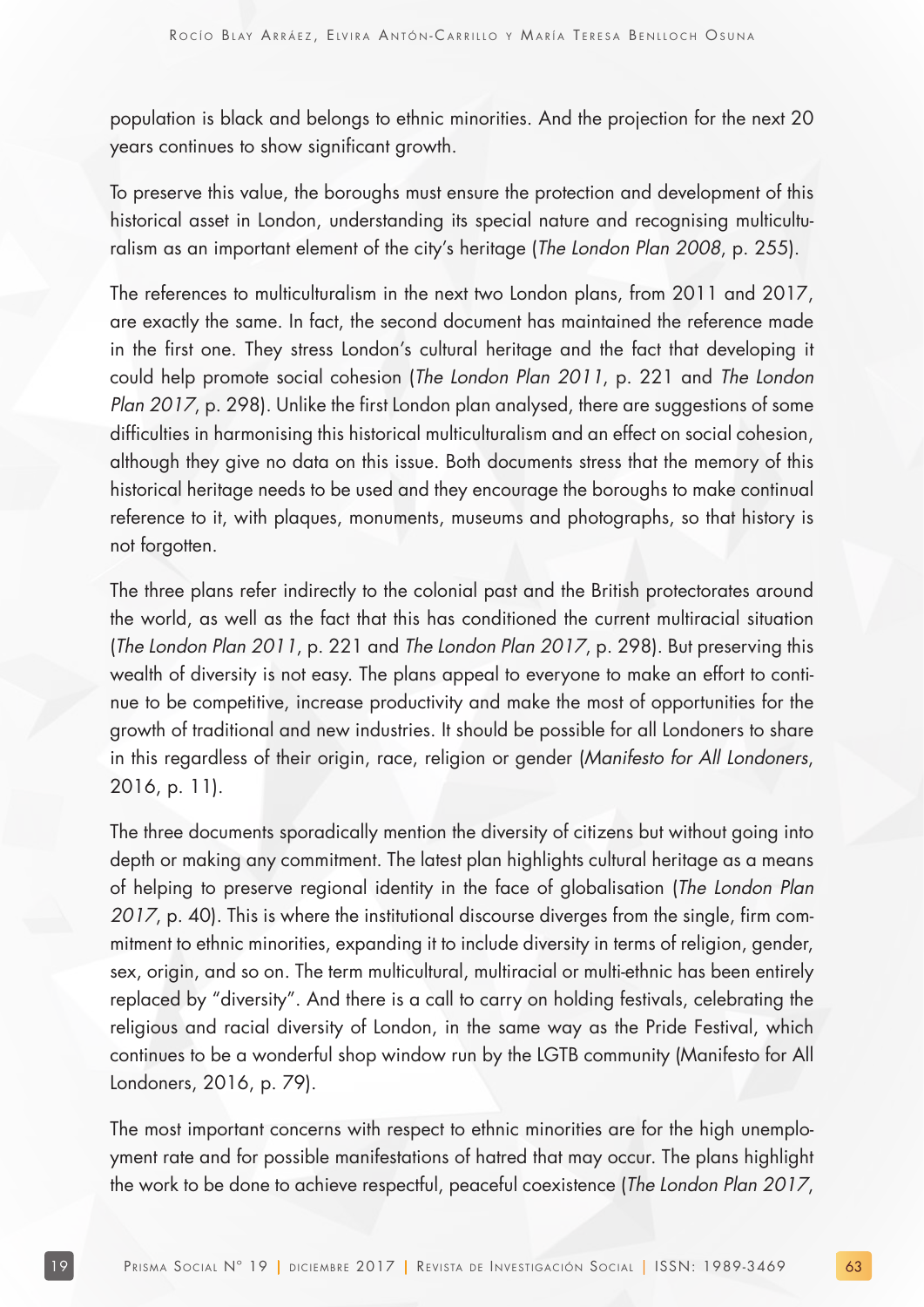population is black and belongs to ethnic minorities. And the projection for the next 20 years continues to show significant growth.

To preserve this value, the boroughs must ensure the protection and development of this historical asset in London, understanding its special nature and recognising multiculturalism as an important element of the city's heritage (The London Plan 2008, p. 255).

The references to multiculturalism in the next two London plans, from 2011 and 2017, are exactly the same. In fact, the second document has maintained the reference made in the first one. They stress London's cultural heritage and the fact that developing it could help promote social cohesion (The London Plan 2011, p. 221 and The London Plan 2017, p. 298). Unlike the first London plan analysed, there are suggestions of some difficulties in harmonising this historical multiculturalism and an effect on social cohesion, although they give no data on this issue. Both documents stress that the memory of this historical heritage needs to be used and they encourage the boroughs to make continual reference to it, with plaques, monuments, museums and photographs, so that history is not forgotten.

The three plans refer indirectly to the colonial past and the British protectorates around the world, as well as the fact that this has conditioned the current multiracial situation (The London Plan 2011, p. 221 and The London Plan 2017, p. 298). But preserving this wealth of diversity is not easy. The plans appeal to everyone to make an effort to continue to be competitive, increase productivity and make the most of opportunities for the growth of traditional and new industries. It should be possible for all Londoners to share in this regardless of their origin, race, religion or gender (Manifesto for All Londoners, 2016, p. 11).

The three documents sporadically mention the diversity of citizens but without going into depth or making any commitment. The latest plan highlights cultural heritage as a means of helping to preserve regional identity in the face of globalisation (The London Plan 2017, p. 40). This is where the institutional discourse diverges from the single, firm commitment to ethnic minorities, expanding it to include diversity in terms of religion, gender, sex, origin, and so on. The term multicultural, multiracial or multi-ethnic has been entirely replaced by "diversity". And there is a call to carry on holding festivals, celebrating the religious and racial diversity of London, in the same way as the Pride Festival, which continues to be a wonderful shop window run by the LGTB community (Manifesto for All Londoners, 2016, p. 79).

The most important concerns with respect to ethnic minorities are for the high unemployment rate and for possible manifestations of hatred that may occur. The plans highlight the work to be done to achieve respectful, peaceful coexistence (The London Plan 2017,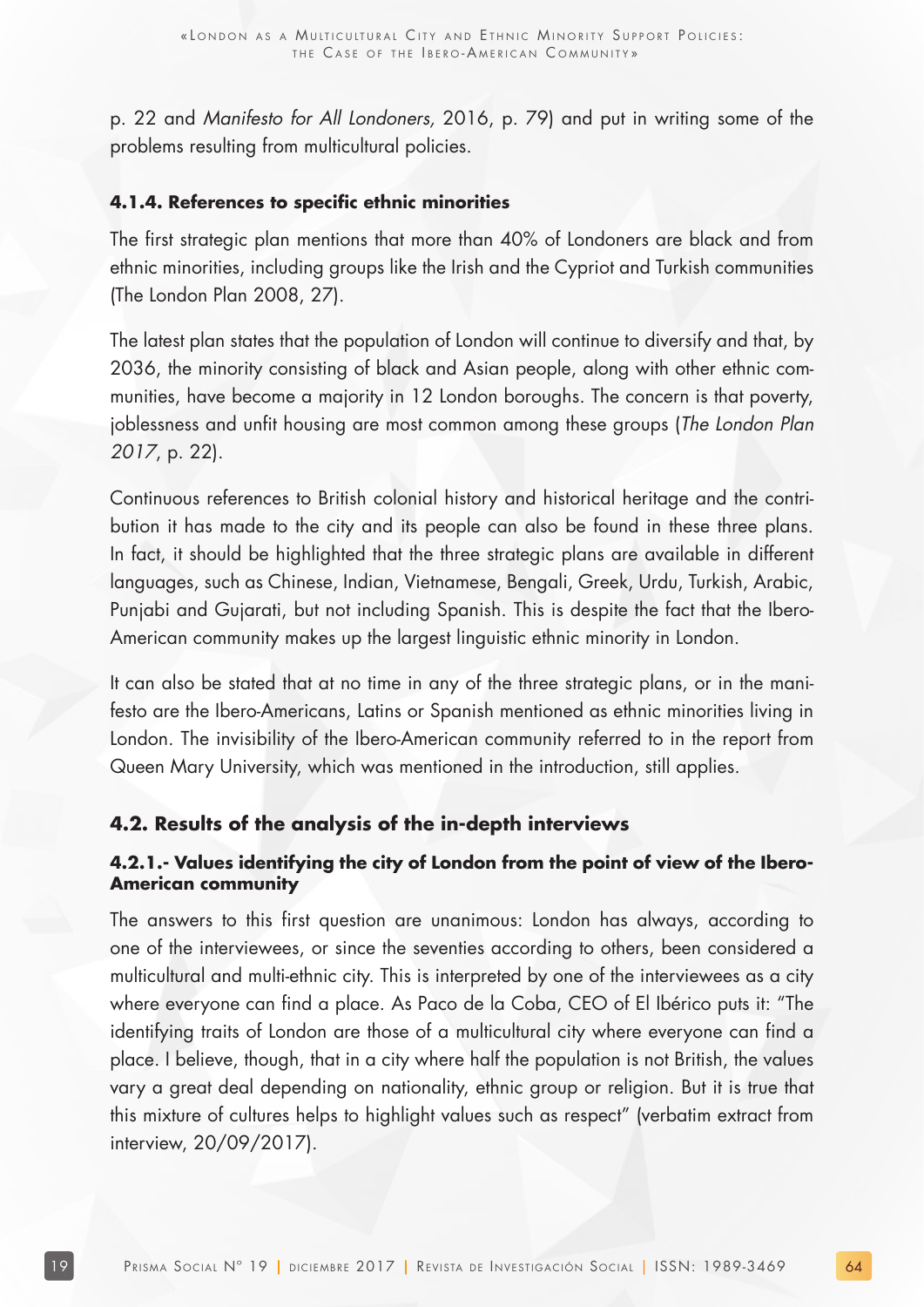p. 22 and Manifesto for All Londoners, 2016, p. 79) and put in writing some of the problems resulting from multicultural policies.

#### **4.1.4. References to specific ethnic minorities**

The first strategic plan mentions that more than 40% of Londoners are black and from ethnic minorities, including groups like the Irish and the Cypriot and Turkish communities (The London Plan 2008, 27).

The latest plan states that the population of London will continue to diversify and that, by 2036, the minority consisting of black and Asian people, along with other ethnic communities, have become a majority in 12 London boroughs. The concern is that poverty, joblessness and unfit housing are most common among these groups (The London Plan 2017, p. 22).

Continuous references to British colonial history and historical heritage and the contribution it has made to the city and its people can also be found in these three plans. In fact, it should be highlighted that the three strategic plans are available in different languages, such as Chinese, Indian, Vietnamese, Bengali, Greek, Urdu, Turkish, Arabic, Punjabi and Gujarati, but not including Spanish. This is despite the fact that the Ibero-American community makes up the largest linguistic ethnic minority in London.

It can also be stated that at no time in any of the three strategic plans, or in the manifesto are the Ibero-Americans, Latins or Spanish mentioned as ethnic minorities living in London. The invisibility of the Ibero-American community referred to in the report from Queen Mary University, which was mentioned in the introduction, still applies.

#### **4.2. Results of the analysis of the in-depth interviews**

#### **4.2.1.- Values identifying the city of London from the point of view of the Ibero-American community**

The answers to this first question are unanimous: London has always, according to one of the interviewees, or since the seventies according to others, been considered a multicultural and multi-ethnic city. This is interpreted by one of the interviewees as a city where everyone can find a place. As Paco de la Coba, CEO of El Ibérico puts it: "The identifying traits of London are those of a multicultural city where everyone can find a place. I believe, though, that in a city where half the population is not British, the values vary a great deal depending on nationality, ethnic group or religion. But it is true that this mixture of cultures helps to highlight values such as respect" (verbatim extract from interview, 20/09/2017).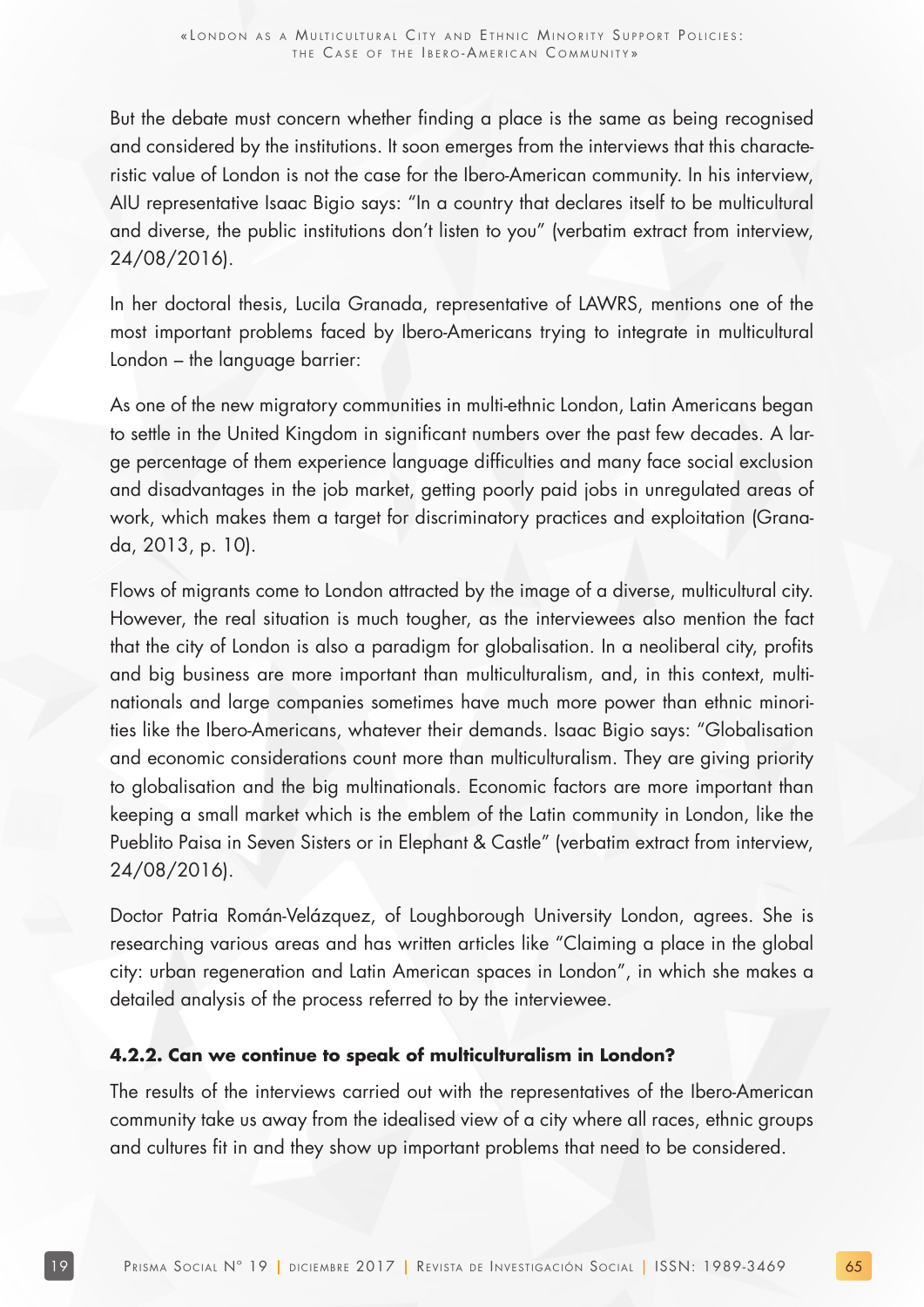But the debate must concern whether finding a place is the same as being recognised and considered by the institutions. It soon emerges from the interviews that this characteristic value of London is not the case for the Ibero-American community. In his interview, AIU representative Isaac Bigio says: "In a country that declares itself to be multicultural and diverse, the public institutions don't listen to you" (verbatim extract from interview, 24/08/2016).

In her doctoral thesis, Lucila Granada, representative of LAWRS, mentions one of the most important problems faced by Ibero-Americans trying to integrate in multicultural London – the language barrier:

As one of the new migratory communities in multi-ethnic London, Latin Americans began to settle in the United Kingdom in significant numbers over the past few decades. A large percentage of them experience language difficulties and many face social exclusion and disadvantages in the job market, getting poorly paid jobs in unregulated areas of work, which makes them a target for discriminatory practices and exploitation (Granada, 2013, p. 10).

Flows of migrants come to London attracted by the image of a diverse, multicultural city. However, the real situation is much tougher, as the interviewees also mention the fact that the city of London is also a paradigm for globalisation. In a neoliberal city, profits and big business are more important than multiculturalism, and, in this context, multinationals and large companies sometimes have much more power than ethnic minorities like the Ibero-Americans, whatever their demands. Isaac Bigio says: "Globalisation and economic considerations count more than multiculturalism. They are giving priority to globalisation and the big multinationals. Economic factors are more important than keeping a small market which is the emblem of the Latin community in London, like the Pueblito Paisa in Seven Sisters or in Elephant & Castle" (verbatim extract from interview, 24/08/2016).

Doctor Patria Román-Velázquez, of Loughborough University London, agrees. She is researching various areas and has written articles like "Claiming a place in the global city: urban regeneration and Latin American spaces in London", in which she makes a detailed analysis of the process referred to by the interviewee.

#### **4.2.2. Can we continue to speak of multiculturalism in London?**

The results of the interviews carried out with the representatives of the Ibero-American community take us away from the idealised view of a city where all races, ethnic groups and cultures fit in and they show up important problems that need to be considered.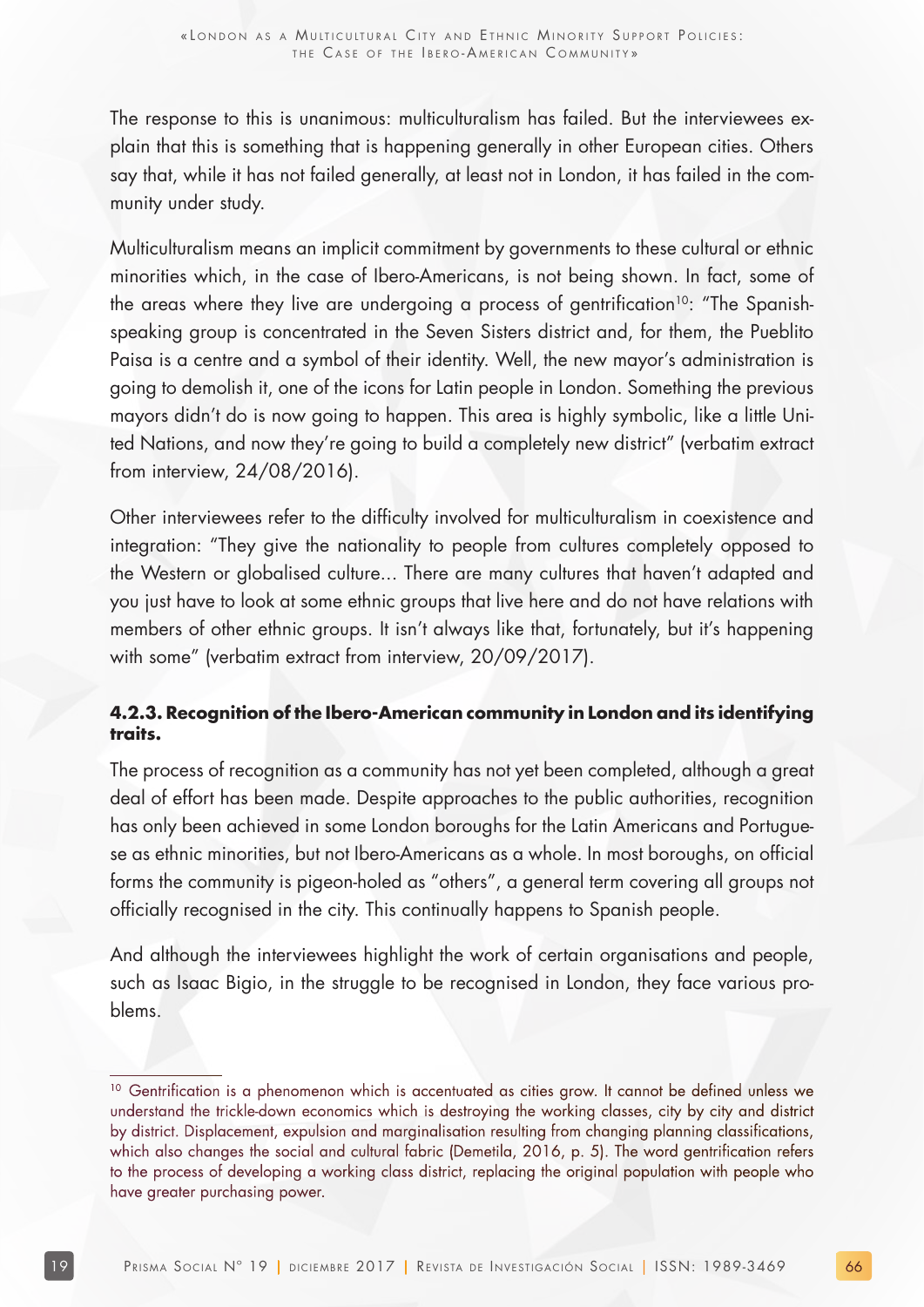The response to this is unanimous: multiculturalism has failed. But the interviewees explain that this is something that is happening generally in other European cities. Others say that, while it has not failed generally, at least not in London, it has failed in the community under study.

Multiculturalism means an implicit commitment by governments to these cultural or ethnic minorities which, in the case of Ibero-Americans, is not being shown. In fact, some of the areas where they live are undergoing a process of gentrification<sup>10</sup>: "The Spanishspeaking group is concentrated in the Seven Sisters district and, for them, the Pueblito Paisa is a centre and a symbol of their identity. Well, the new mayor's administration is going to demolish it, one of the icons for Latin people in London. Something the previous mayors didn't do is now going to happen. This area is highly symbolic, like a little United Nations, and now they're going to build a completely new district" (verbatim extract from interview, 24/08/2016).

Other interviewees refer to the difficulty involved for multiculturalism in coexistence and integration: "They give the nationality to people from cultures completely opposed to the Western or globalised culture... There are many cultures that haven't adapted and you just have to look at some ethnic groups that live here and do not have relations with members of other ethnic groups. It isn't always like that, fortunately, but it's happening with some" (verbatim extract from interview, 20/09/2017).

#### **4.2.3. Recognition of the Ibero-American community in London and its identifying traits.**

The process of recognition as a community has not yet been completed, although a great deal of effort has been made. Despite approaches to the public authorities, recognition has only been achieved in some London boroughs for the Latin Americans and Portuguese as ethnic minorities, but not Ibero-Americans as a whole. In most boroughs, on official forms the community is pigeon-holed as "others", a general term covering all groups not officially recognised in the city. This continually happens to Spanish people.

And although the interviewees highlight the work of certain organisations and people, such as Isaac Bigio, in the struggle to be recognised in London, they face various problems.

<sup>&</sup>lt;sup>10</sup> Gentrification is a phenomenon which is accentuated as cities grow. It cannot be defined unless we understand the trickle-down economics which is destroying the working classes, city by city and district by district. Displacement, expulsion and marginalisation resulting from changing planning classifications, which also changes the social and cultural fabric (Demetila, 2016, p. 5). The word gentrification refers to the process of developing a working class district, replacing the original population with people who have greater purchasing power.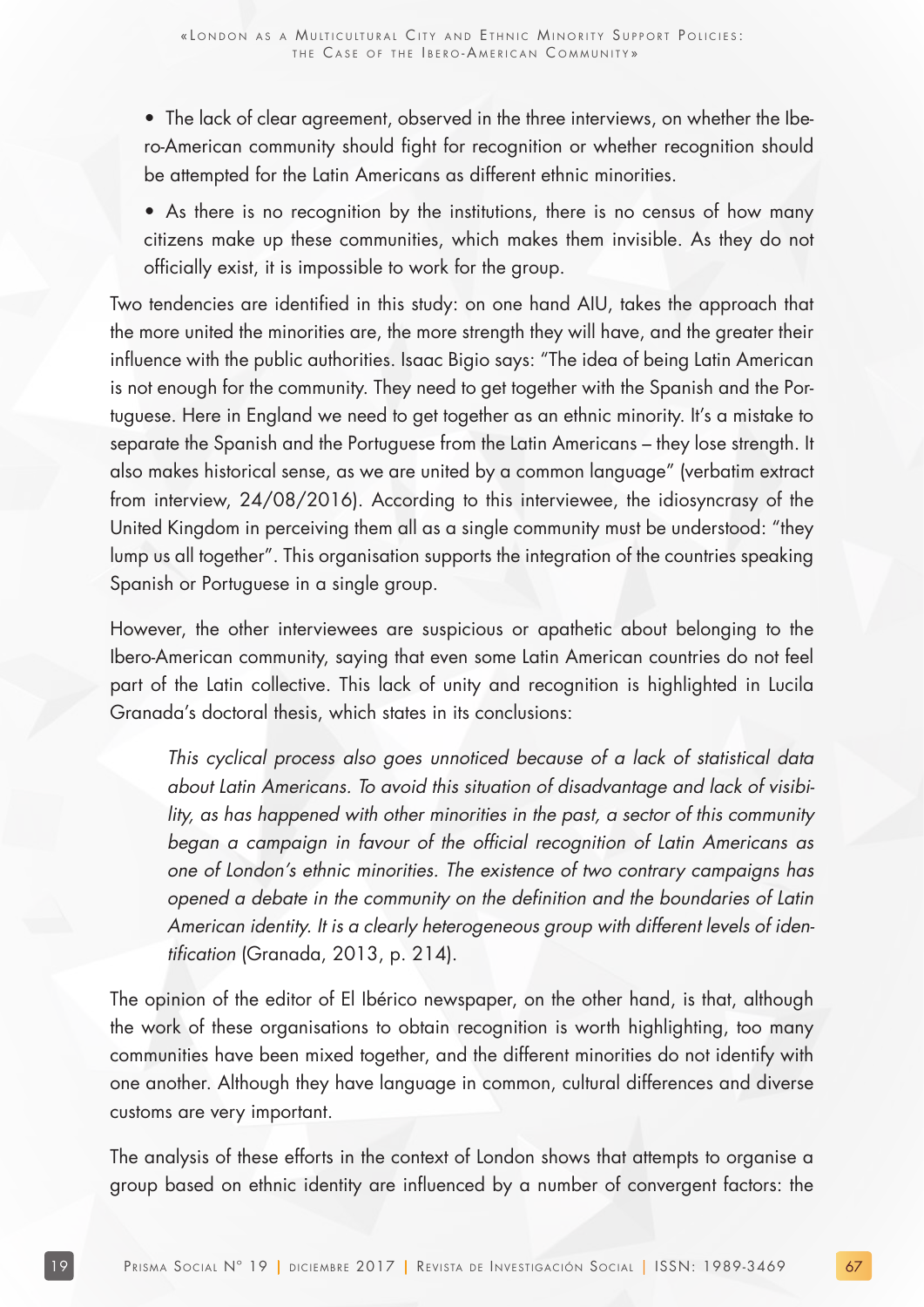- The lack of clear agreement, observed in the three interviews, on whether the Ibero-American community should fight for recognition or whether recognition should be attempted for the Latin Americans as different ethnic minorities.
- As there is no recognition by the institutions, there is no census of how many citizens make up these communities, which makes them invisible. As they do not officially exist, it is impossible to work for the group.

Two tendencies are identified in this study: on one hand AIU, takes the approach that the more united the minorities are, the more strength they will have, and the greater their influence with the public authorities. Isaac Bigio says: "The idea of being Latin American is not enough for the community. They need to get together with the Spanish and the Portuguese. Here in England we need to get together as an ethnic minority. It's a mistake to separate the Spanish and the Portuguese from the Latin Americans – they lose strength. It also makes historical sense, as we are united by a common language" (verbatim extract from interview, 24/08/2016). According to this interviewee, the idiosyncrasy of the United Kingdom in perceiving them all as a single community must be understood: "they lump us all together". This organisation supports the integration of the countries speaking Spanish or Portuguese in a single group.

However, the other interviewees are suspicious or apathetic about belonging to the Ibero-American community, saying that even some Latin American countries do not feel part of the Latin collective. This lack of unity and recognition is highlighted in Lucila Granada's doctoral thesis, which states in its conclusions:

This cyclical process also goes unnoticed because of a lack of statistical data about Latin Americans. To avoid this situation of disadvantage and lack of visibility, as has happened with other minorities in the past, a sector of this community began a campaign in favour of the official recognition of Latin Americans as one of London's ethnic minorities. The existence of two contrary campaigns has opened a debate in the community on the definition and the boundaries of Latin American identity. It is a clearly heterogeneous group with different levels of identification (Granada, 2013, p. 214).

The opinion of the editor of El Ibérico newspaper, on the other hand, is that, although the work of these organisations to obtain recognition is worth highlighting, too many communities have been mixed together, and the different minorities do not identify with one another. Although they have language in common, cultural differences and diverse customs are very important.

The analysis of these efforts in the context of London shows that attempts to organise a group based on ethnic identity are influenced by a number of convergent factors: the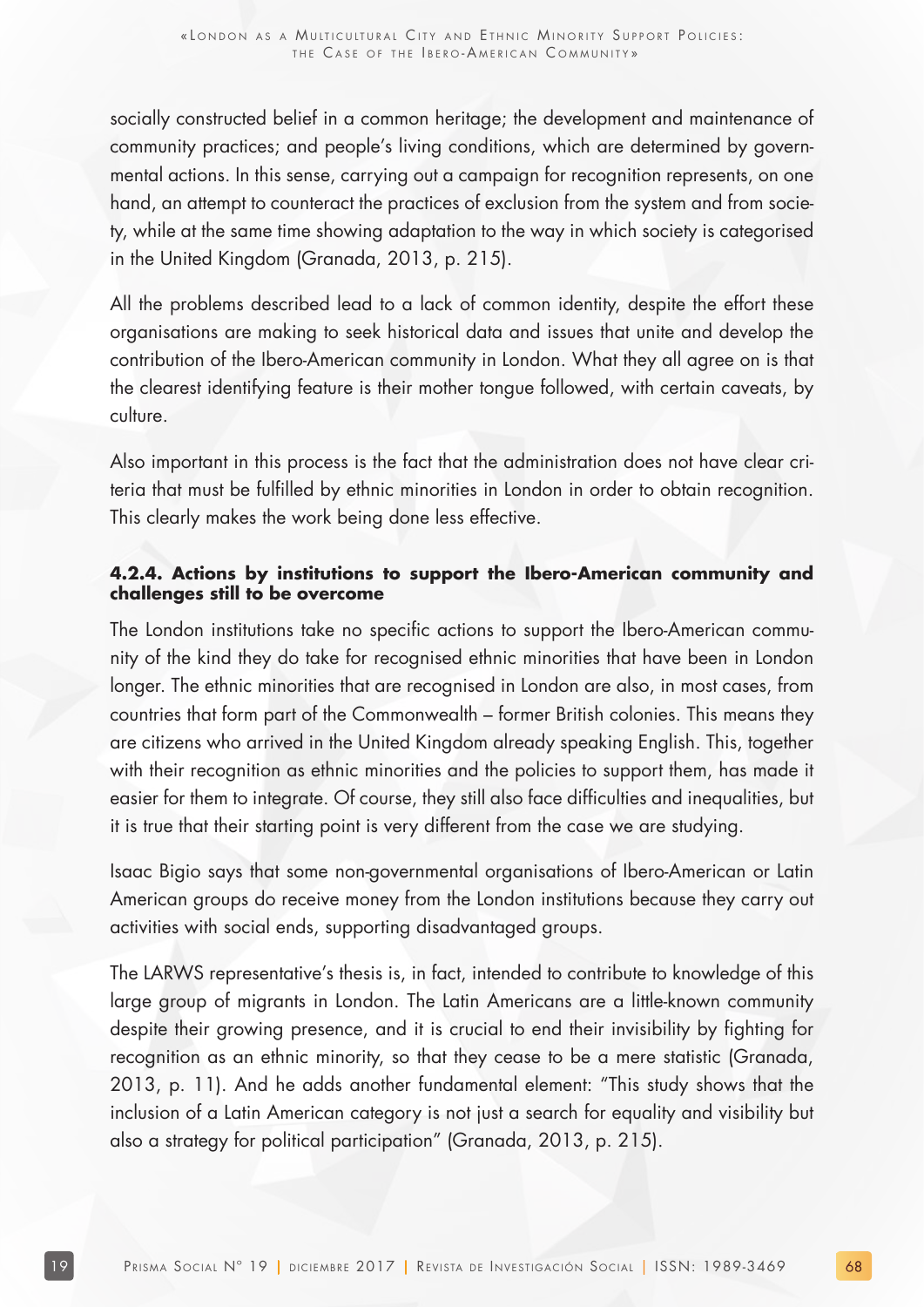socially constructed belief in a common heritage; the development and maintenance of community practices; and people's living conditions, which are determined by governmental actions. In this sense, carrying out a campaign for recognition represents, on one hand, an attempt to counteract the practices of exclusion from the system and from society, while at the same time showing adaptation to the way in which society is categorised in the United Kingdom (Granada, 2013, p. 215).

All the problems described lead to a lack of common identity, despite the effort these organisations are making to seek historical data and issues that unite and develop the contribution of the Ibero-American community in London. What they all agree on is that the clearest identifying feature is their mother tongue followed, with certain caveats, by culture.

Also important in this process is the fact that the administration does not have clear criteria that must be fulfilled by ethnic minorities in London in order to obtain recognition. This clearly makes the work being done less effective.

#### **4.2.4. Actions by institutions to support the Ibero-American community and challenges still to be overcome**

The London institutions take no specific actions to support the Ibero-American community of the kind they do take for recognised ethnic minorities that have been in London longer. The ethnic minorities that are recognised in London are also, in most cases, from countries that form part of the Commonwealth – former British colonies. This means they are citizens who arrived in the United Kingdom already speaking English. This, together with their recognition as ethnic minorities and the policies to support them, has made it easier for them to integrate. Of course, they still also face difficulties and inequalities, but it is true that their starting point is very different from the case we are studying.

Isaac Bigio says that some non-governmental organisations of Ibero-American or Latin American groups do receive money from the London institutions because they carry out activities with social ends, supporting disadvantaged groups.

The LARWS representative's thesis is, in fact, intended to contribute to knowledge of this large group of migrants in London. The Latin Americans are a little-known community despite their growing presence, and it is crucial to end their invisibility by fighting for recognition as an ethnic minority, so that they cease to be a mere statistic (Granada, 2013, p. 11). And he adds another fundamental element: "This study shows that the inclusion of a Latin American category is not just a search for equality and visibility but also a strategy for political participation" (Granada, 2013, p. 215).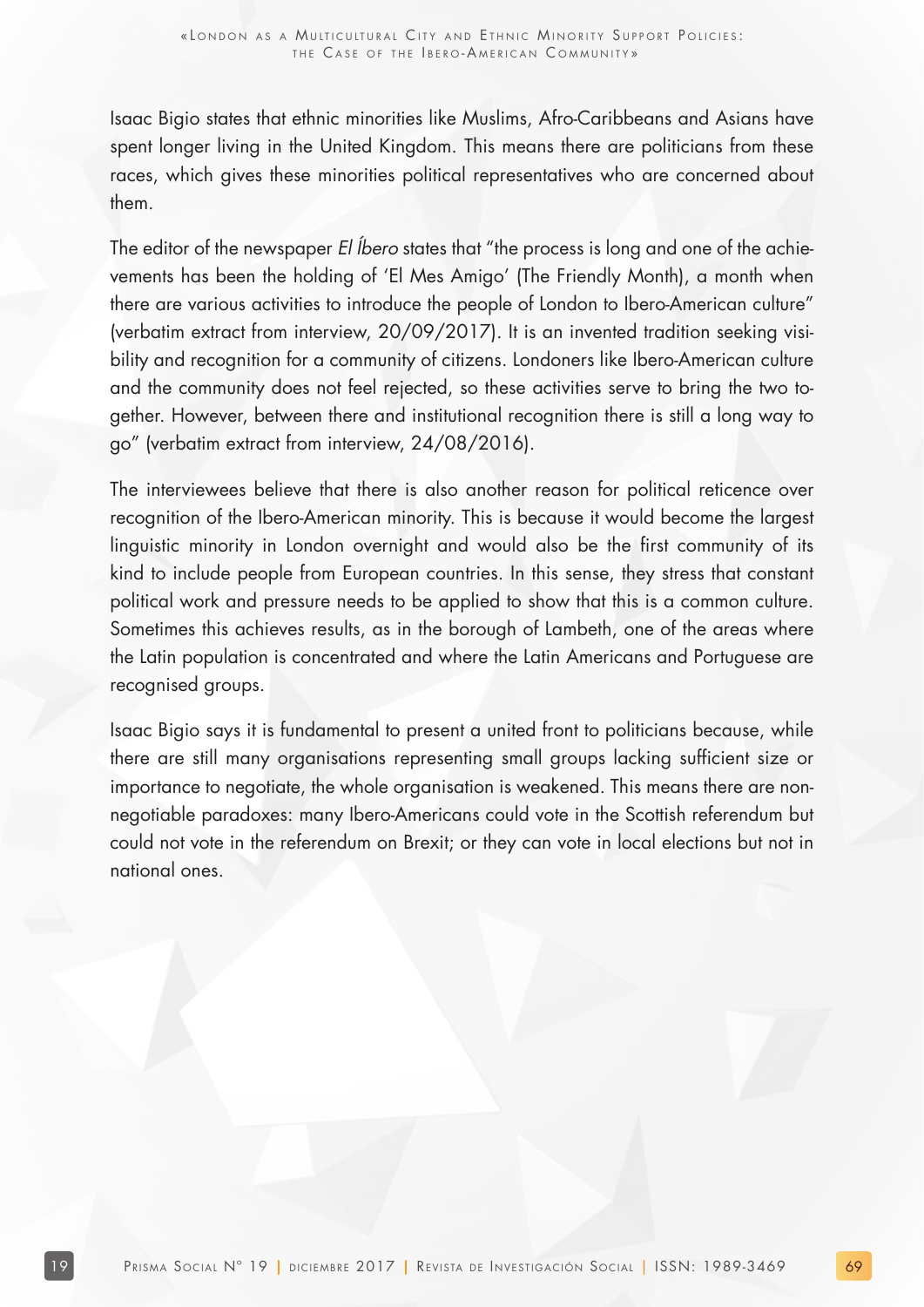Isaac Bigio states that ethnic minorities like Muslims, Afro-Caribbeans and Asians have spent longer living in the United Kingdom. This means there are politicians from these races, which gives these minorities political representatives who are concerned about them.

The editor of the newspaper El Íbero states that "the process is long and one of the achievements has been the holding of 'El Mes Amigo' (The Friendly Month), a month when there are various activities to introduce the people of London to Ibero-American culture" (verbatim extract from interview, 20/09/2017). It is an invented tradition seeking visibility and recognition for a community of citizens. Londoners like Ibero-American culture and the community does not feel rejected, so these activities serve to bring the two together. However, between there and institutional recognition there is still a long way to go" (verbatim extract from interview, 24/08/2016).

The interviewees believe that there is also another reason for political reticence over recognition of the Ibero-American minority. This is because it would become the largest linguistic minority in London overnight and would also be the first community of its kind to include people from European countries. In this sense, they stress that constant political work and pressure needs to be applied to show that this is a common culture. Sometimes this achieves results, as in the borough of Lambeth, one of the areas where the Latin population is concentrated and where the Latin Americans and Portuguese are recognised groups.

Isaac Bigio says it is fundamental to present a united front to politicians because, while there are still many organisations representing small groups lacking sufficient size or importance to negotiate, the whole organisation is weakened. This means there are nonnegotiable paradoxes: many Ibero-Americans could vote in the Scottish referendum but could not vote in the referendum on Brexit; or they can vote in local elections but not in national ones.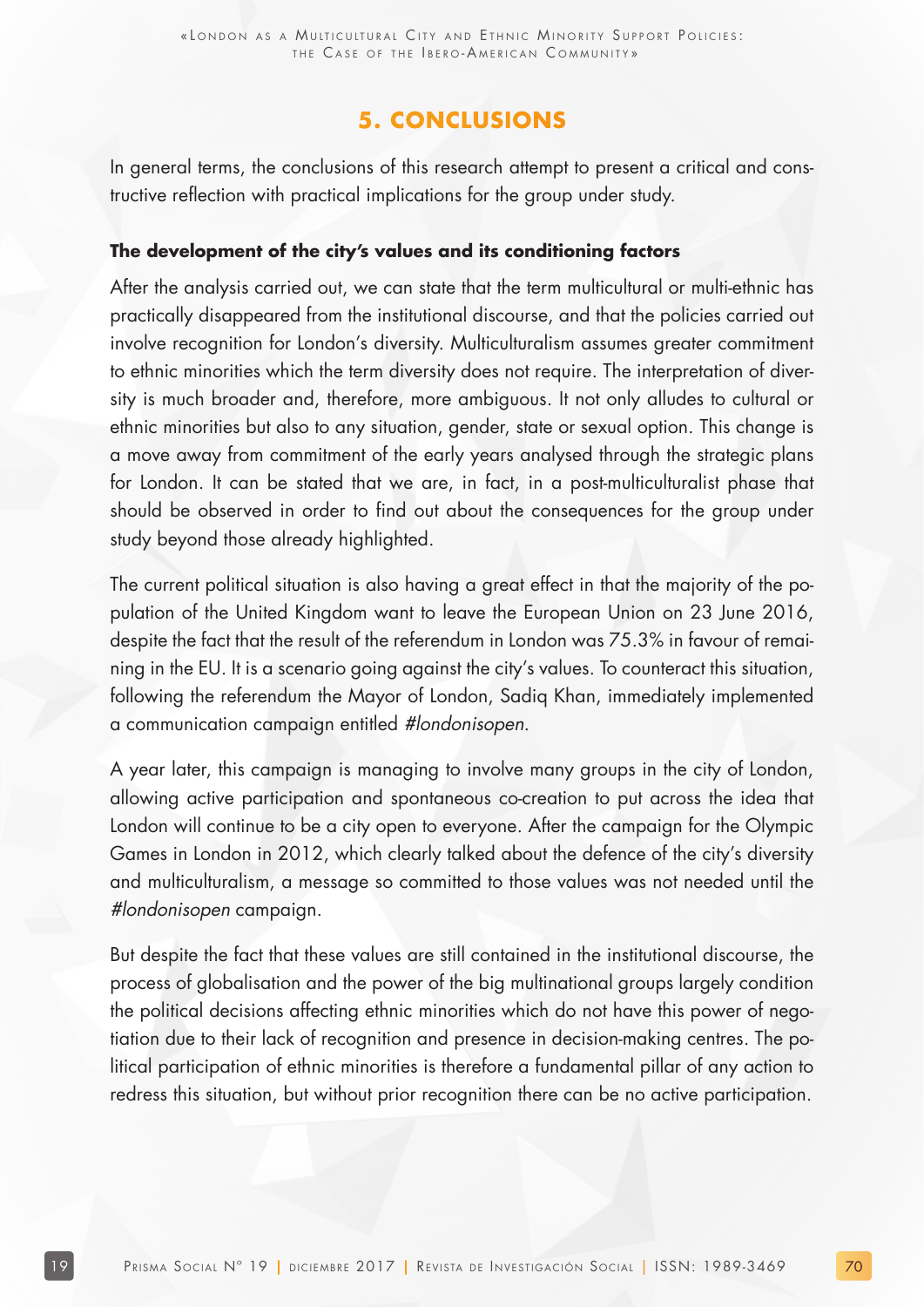## **5. CONCLUSIONS**

In general terms, the conclusions of this research attempt to present a critical and constructive reflection with practical implications for the group under study.

#### **The development of the city's values and its conditioning factors**

After the analysis carried out, we can state that the term multicultural or multi-ethnic has practically disappeared from the institutional discourse, and that the policies carried out involve recognition for London's diversity. Multiculturalism assumes greater commitment to ethnic minorities which the term diversity does not require. The interpretation of diversity is much broader and, therefore, more ambiguous. It not only alludes to cultural or ethnic minorities but also to any situation, gender, state or sexual option. This change is a move away from commitment of the early years analysed through the strategic plans for London. It can be stated that we are, in fact, in a post-multiculturalist phase that should be observed in order to find out about the consequences for the group under study beyond those already highlighted.

The current political situation is also having a great effect in that the majority of the population of the United Kingdom want to leave the European Union on 23 June 2016, despite the fact that the result of the referendum in London was 75.3% in favour of remaining in the EU. It is a scenario going against the city's values. To counteract this situation, following the referendum the Mayor of London, Sadiq Khan, immediately implemented a communication campaign entitled #londonisopen.

A year later, this campaign is managing to involve many groups in the city of London, allowing active participation and spontaneous co-creation to put across the idea that London will continue to be a city open to everyone. After the campaign for the Olympic Games in London in 2012, which clearly talked about the defence of the city's diversity and multiculturalism, a message so committed to those values was not needed until the #londonisopen campaign.

But despite the fact that these values are still contained in the institutional discourse, the process of globalisation and the power of the big multinational groups largely condition the political decisions affecting ethnic minorities which do not have this power of negotiation due to their lack of recognition and presence in decision-making centres. The political participation of ethnic minorities is therefore a fundamental pillar of any action to redress this situation, but without prior recognition there can be no active participation.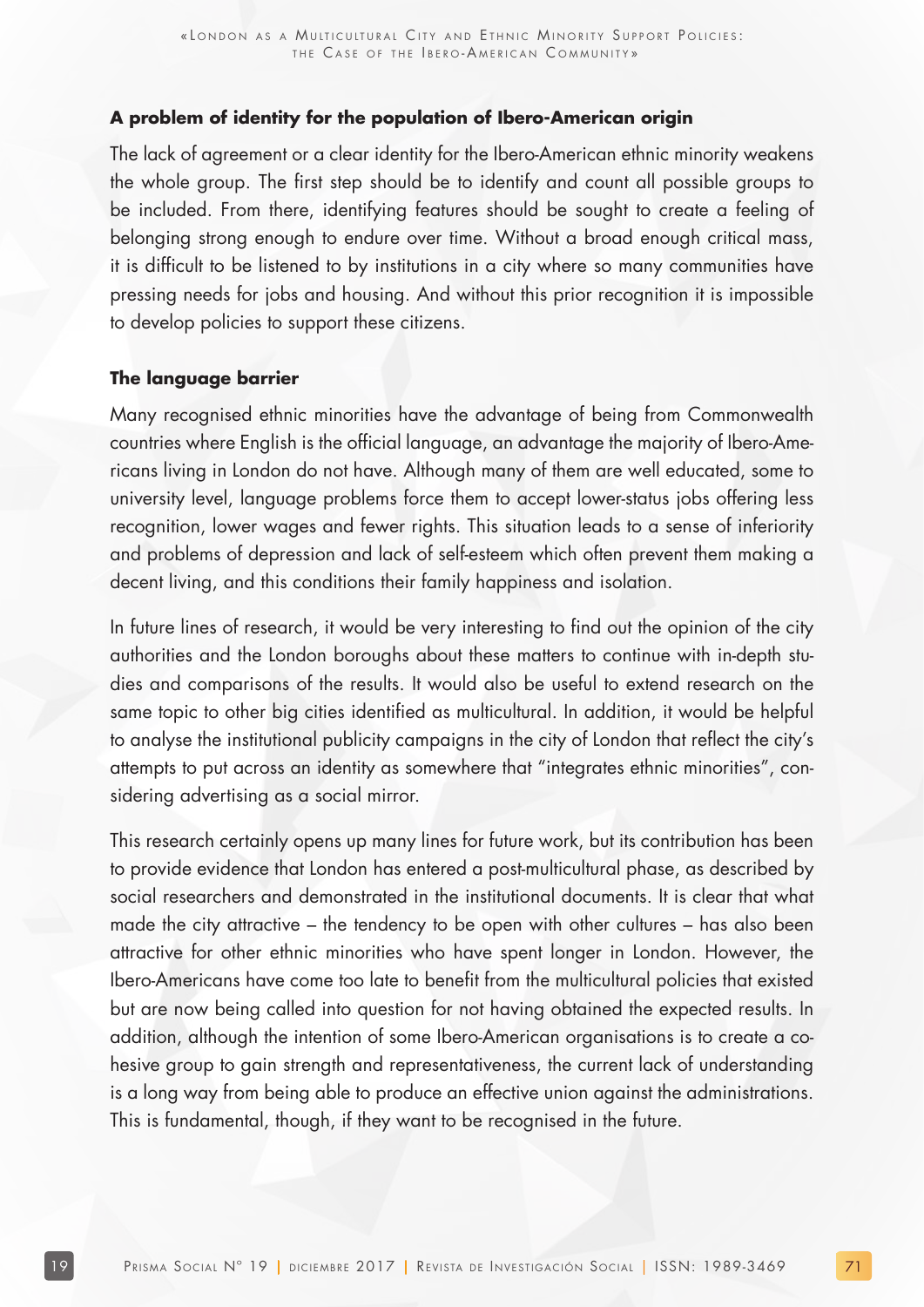#### **A problem of identity for the population of Ibero-American origin**

The lack of agreement or a clear identity for the Ibero-American ethnic minority weakens the whole group. The first step should be to identify and count all possible groups to be included. From there, identifying features should be sought to create a feeling of belonging strong enough to endure over time. Without a broad enough critical mass, it is difficult to be listened to by institutions in a city where so many communities have pressing needs for jobs and housing. And without this prior recognition it is impossible to develop policies to support these citizens.

#### **The language barrier**

Many recognised ethnic minorities have the advantage of being from Commonwealth countries where English is the official language, an advantage the majority of Ibero-Americans living in London do not have. Although many of them are well educated, some to university level, language problems force them to accept lower-status jobs offering less recognition, lower wages and fewer rights. This situation leads to a sense of inferiority and problems of depression and lack of self-esteem which often prevent them making a decent living, and this conditions their family happiness and isolation.

In future lines of research, it would be very interesting to find out the opinion of the city authorities and the London boroughs about these matters to continue with in-depth studies and comparisons of the results. It would also be useful to extend research on the same topic to other big cities identified as multicultural. In addition, it would be helpful to analyse the institutional publicity campaigns in the city of London that reflect the city's attempts to put across an identity as somewhere that "integrates ethnic minorities", considering advertising as a social mirror.

This research certainly opens up many lines for future work, but its contribution has been to provide evidence that London has entered a post-multicultural phase, as described by social researchers and demonstrated in the institutional documents. It is clear that what made the city attractive – the tendency to be open with other cultures – has also been attractive for other ethnic minorities who have spent longer in London. However, the Ibero-Americans have come too late to benefit from the multicultural policies that existed but are now being called into question for not having obtained the expected results. In addition, although the intention of some Ibero-American organisations is to create a cohesive group to gain strength and representativeness, the current lack of understanding is a long way from being able to produce an effective union against the administrations. This is fundamental, though, if they want to be recognised in the future.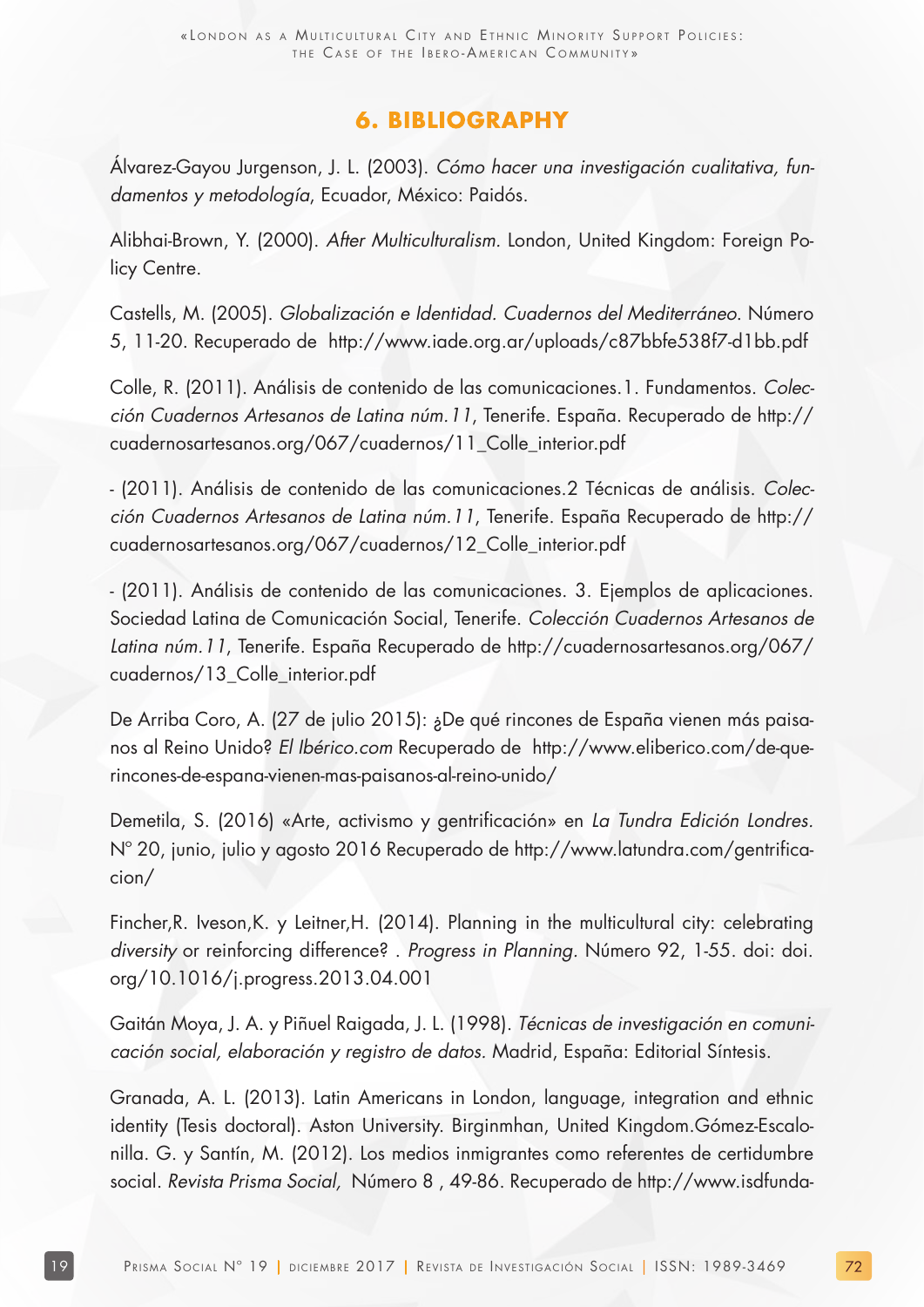## **6. BIBLIOGRAPHY**

Álvarez-Gayou Jurgenson, J. L. (2003). Cómo hacer una investigación cualitativa, fundamentos y metodología, Ecuador, México: Paidós.

Alibhai-Brown, Y. (2000). After Multiculturalism. London, United Kingdom: Foreign Policy Centre.

Castells, M. (2005). Globalización e Identidad. Cuadernos del Mediterráneo. Número 5, 11-20. Recuperado de http://www.iade.org.ar/uploads/c87bbfe538f7-d1bb.pdf

Colle, R. (2011). Análisis de contenido de las comunicaciones.1. Fundamentos. Colección Cuadernos Artesanos de Latina núm.11, Tenerife. España. Recuperado de http:// cuadernosartesanos.org/067/cuadernos/11\_Colle\_interior.pdf

- (2011). Análisis de contenido de las comunicaciones.2 Técnicas de análisis. Colección Cuadernos Artesanos de Latina núm.11, Tenerife. España Recuperado de http:// cuadernosartesanos.org/067/cuadernos/12\_Colle\_interior.pdf

- (2011). Análisis de contenido de las comunicaciones. 3. Ejemplos de aplicaciones. Sociedad Latina de Comunicación Social, Tenerife. Colección Cuadernos Artesanos de Latina núm.11, Tenerife. España Recuperado de http://cuadernosartesanos.org/067/ cuadernos/13\_Colle\_interior.pdf

De Arriba Coro, A. (27 de julio 2015): ¿De qué rincones de España vienen más paisanos al Reino Unido? El Ibérico.com Recuperado de http://www.eliberico.com/de-querincones-de-espana-vienen-mas-paisanos-al-reino-unido/

Demetila, S. (2016) «Arte, activismo y gentrificación» en La Tundra Edición Londres. Nº 20, junio, julio y agosto 2016 Recuperado de http://www.latundra.com/gentrificacion/

Fincher,R. Iveson,K. y Leitner,H. (2014). Planning in the multicultural city: celebrating diversity or reinforcing difference? . Progress in Planning. Número 92, 1-55. doi: doi. org/10.1016/j.progress.2013.04.001

Gaitán Moya, J. A. y Piñuel Raigada, J. L. (1998). Técnicas de investigación en comunicación social, elaboración y registro de datos. Madrid, España: Editorial Síntesis.

Granada, A. L. (2013). Latin Americans in London, language, integration and ethnic identity (Tesis doctoral). Aston University. Birginmhan, United Kingdom.Gómez-Escalonilla. G. y Santín, M. (2012). Los medios inmigrantes como referentes de certidumbre social. Revista Prisma Social, Número 8 , 49-86. Recuperado de http://www.isdfunda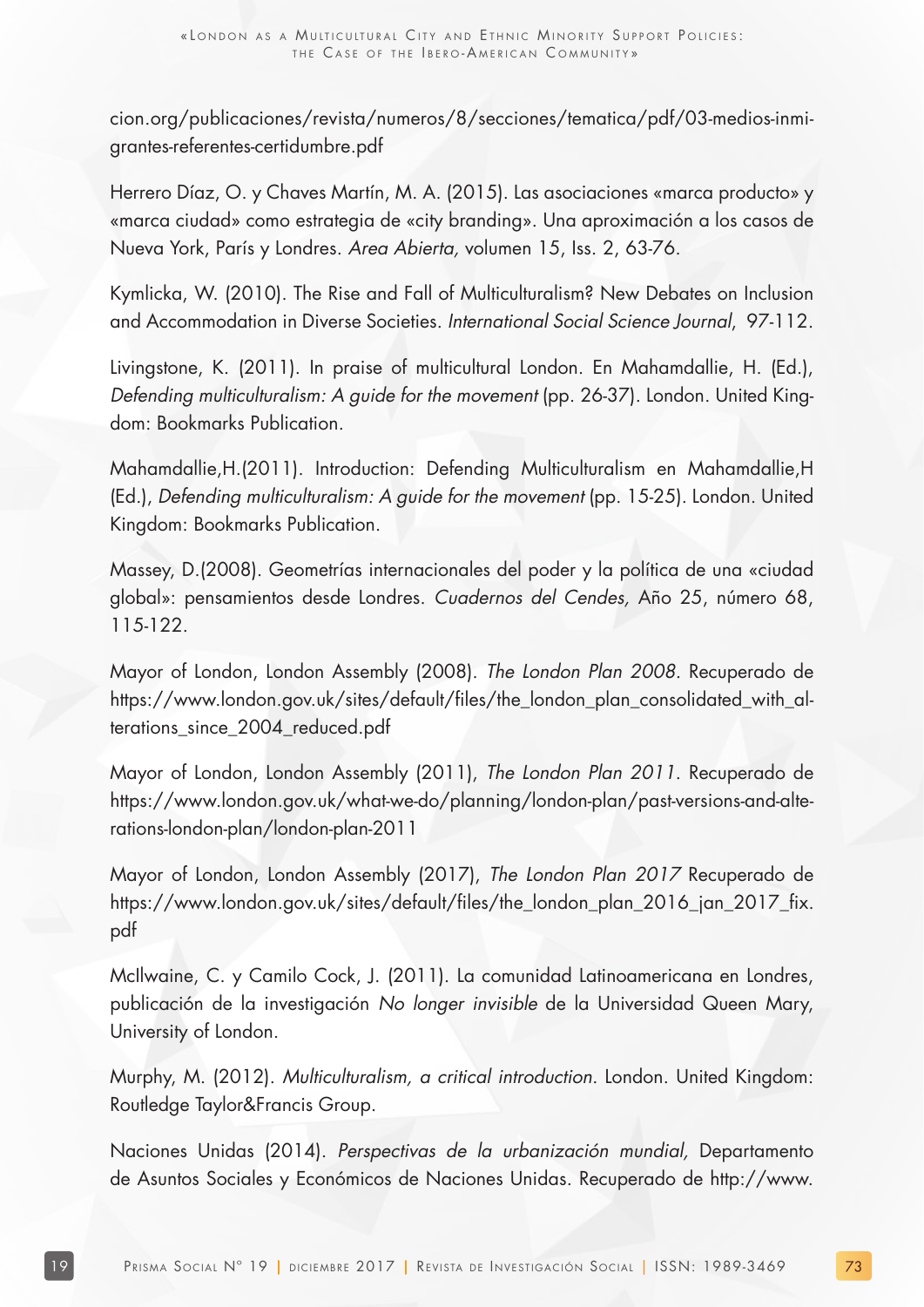cion.org/publicaciones/revista/numeros/8/secciones/tematica/pdf/03-medios-inmigrantes-referentes-certidumbre.pdf

Herrero Díaz, O. y Chaves Martín, M. A. (2015). Las asociaciones «marca producto» y «marca ciudad» como estrategia de «city branding». Una aproximación a los casos de Nueva York, París y Londres. Area Abierta, volumen 15, Iss. 2, 63-76.

Kymlicka, W. (2010). The Rise and Fall of Multiculturalism? New Debates on Inclusion and Accommodation in Diverse Societies. International Social Science Journal, 97-112.

Livingstone, K. (2011). In praise of multicultural London. En Mahamdallie, H. (Ed.), Defending multiculturalism: A guide for the movement (pp. 26-37). London. United Kingdom: Bookmarks Publication.

Mahamdallie,H.(2011). Introduction: Defending Multiculturalism en Mahamdallie,H (Ed.), Defending multiculturalism: A guide for the movement (pp. 15-25). London. United Kingdom: Bookmarks Publication.

Massey, D.(2008). Geometrías internacionales del poder y la política de una «ciudad global»: pensamientos desde Londres. Cuadernos del Cendes, Año 25, número 68, 115-122.

Mayor of London, London Assembly (2008). The London Plan 2008. Recuperado de https://www.london.gov.uk/sites/default/files/the\_london\_plan\_consolidated\_with\_alterations\_since\_2004\_reduced.pdf

Mayor of London, London Assembly (2011), The London Plan 2011. Recuperado de https://www.london.gov.uk/what-we-do/planning/london-plan/past-versions-and-alterations-london-plan/london-plan-2011

Mayor of London, London Assembly (2017), The London Plan 2017 Recuperado de https://www.london.gov.uk/sites/default/files/the\_london\_plan\_2016\_jan\_2017\_fix. pdf

McIlwaine, C. y Camilo Cock, J. (2011). La comunidad Latinoamericana en Londres, publicación de la investigación No longer invisible de la Universidad Queen Mary, University of London.

Murphy, M. (2012). Multiculturalism, a critical introduction. London. United Kingdom: Routledge Taylor&Francis Group.

Naciones Unidas (2014). Perspectivas de la urbanización mundial, Departamento de Asuntos Sociales y Económicos de Naciones Unidas. Recuperado de http://www.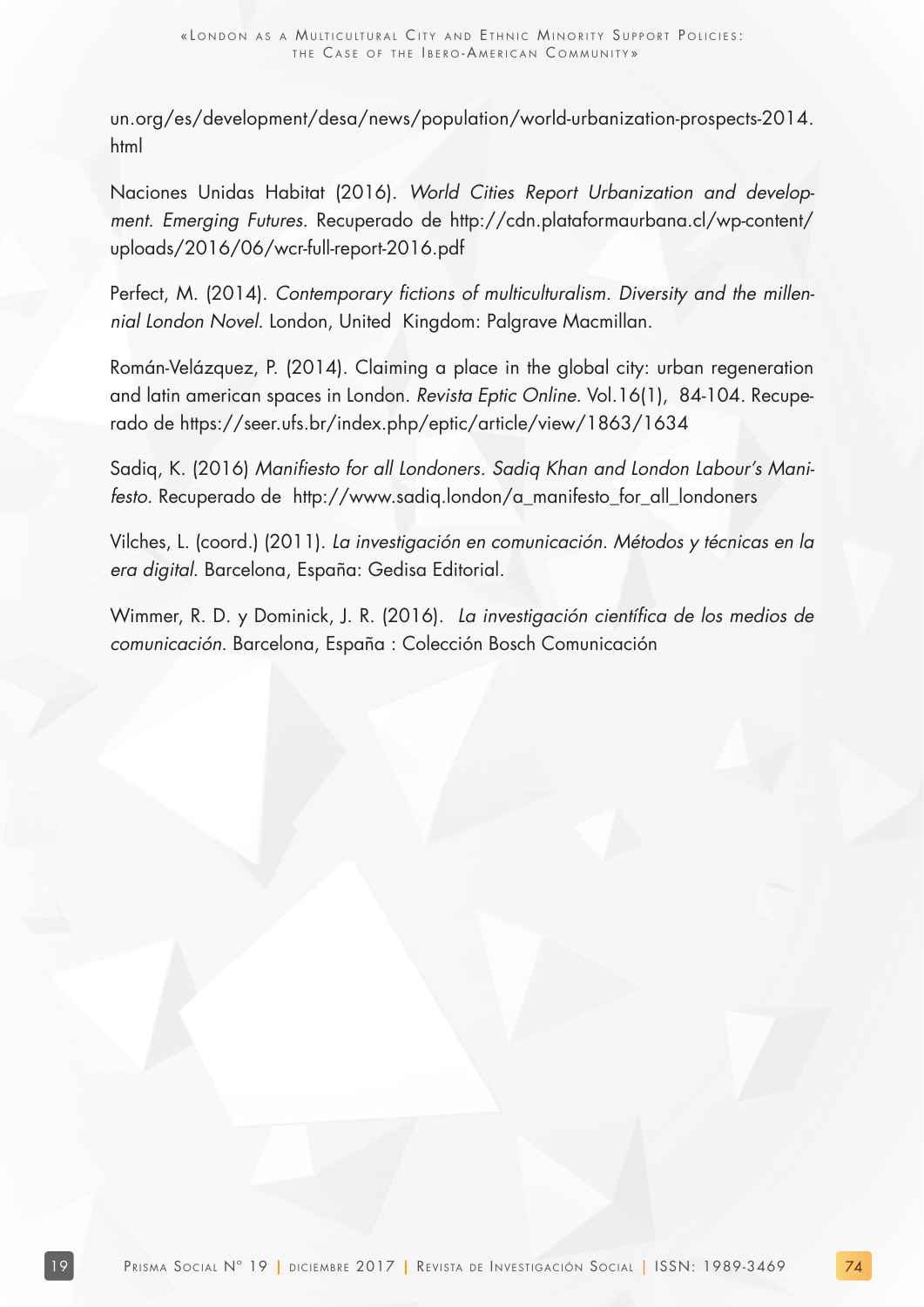un.org/es/development/desa/news/population/world-urbanization-prospects-2014. html

Naciones Unidas Habitat (2016). World Cities Report Urbanization and development. Emerging Futures. Recuperado de http://cdn.plataformaurbana.cl/wp-content/ uploads/2016/06/wcr-full-report-2016.pdf

Perfect, M. (2014). Contemporary fictions of multiculturalism. Diversity and the millennial London Novel. London, United Kingdom: Palgrave Macmillan.

Román-Velázquez, P. (2014). Claiming a place in the global city: urban regeneration and latin american spaces in London. Revista Eptic Online. Vol.16(1), 84-104. Recuperado de https://seer.ufs.br/index.php/eptic/article/view/1863/1634

Sadiq, K. (2016) Manifiesto for all Londoners. Sadiq Khan and London Labour's Manifesto. Recuperado de http://www.sadiq.london/a\_manifesto\_for\_all\_londoners

Vilches, L. (coord.) (2011). La investigación en comunicación. Métodos y técnicas en la era digital. Barcelona, España: Gedisa Editorial.

Wimmer, R. D. y Dominick, J. R. (2016). La investigación científica de los medios de comunicación. Barcelona, España : Colección Bosch Comunicación